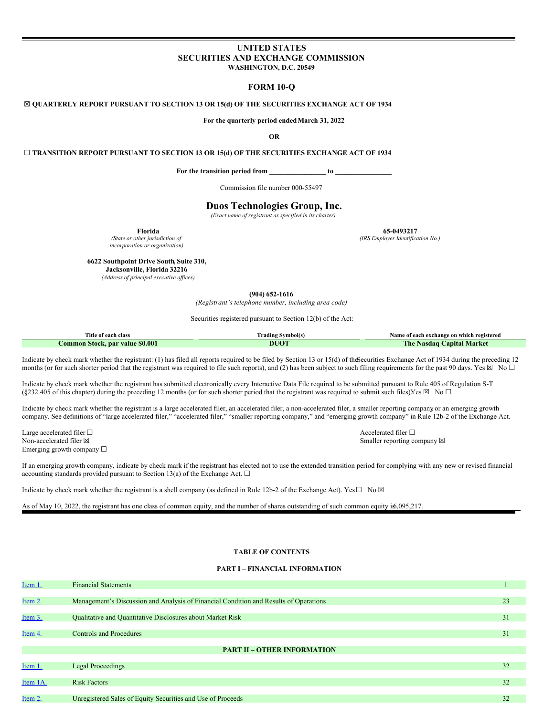## **UNITED STATES SECURITIES AND EXCHANGE COMMISSION WASHINGTON, D.C. 20549**

## **FORM 10-Q**

## ☒ **QUARTERLY REPORT PURSUANT TO SECTION 13 OR 15(d) OF THE SECURITIES EXCHANGE ACT OF 1934**

**For the quarterly period endedMarch 31, 2022**

**OR**

☐ **TRANSITION REPORT PURSUANT TO SECTION 13 OR 15(d) OF THE SECURITIES EXCHANGE ACT OF 1934**

**For the transition period from \_\_\_\_\_\_\_\_\_\_\_\_\_\_\_\_ to \_\_\_\_\_\_\_\_\_\_\_\_\_\_\_\_**

Commission file number 000-55497

## **Duos Technologies Group, Inc.**

*(Exact name of registrant as specified in its charter)*

*(State or other jurisdiction of incorporation or organization)*

**Florida 65-0493217**

*(IRS Employer Identification No.)*

**6622 Southpoint Drive South, Suite 310,**

**Jacksonville, Florida 32216**

*(Address of principal executive of ices)*

**(904) 652-1616**

*(Registrant's telephone number, including area code)*

Securities registered pursuant to Section 12(b) of the Act:

| Title of each class             | Trading Svmbol(s) | Name of each exchange on which registered       |
|---------------------------------|-------------------|-------------------------------------------------|
| Common Stock, par value \$0.001 | DUOT              | <b>Capital Market</b><br>L'he-<br><b>Nasdaq</b> |

Indicate by check mark whether the registrant: (1) has filed all reports required to be filed by Section 13 or 15(d) of theSecurities Exchange Act of 1934 during the preceding 12 months (or for such shorter period that the registrant was required to file such reports), and (2) has been subject to such filing requirements for the past 90 days. Yes  $\boxtimes$  No  $\Box$ 

Indicate by check mark whether the registrant has submitted electronically every Interactive Data File required to be submitted pursuant to Rule 405 of Regulation S-T (§232.405 of this chapter) during the preceding 12 months (or for such shorter period that the registrant was required to submit such files)Yes  $\boxtimes$  No  $\Box$ 

Indicate by check mark whether the registrant is a large accelerated filer, an accelerated filer, a non-accelerated filer, a smaller reporting company, or an emerging growth company. See definitions of "large accelerated filer," "accelerated filer," "smaller reporting company," and "emerging growth company" in Rule 12b-2 of the Exchange Act.

Large accelerated filer □<br>
Non-accelerated filer □<br>
Non-accelerated filer ⊠ Emerging growth company  $\Box$ 

Smaller reporting company  $\boxtimes$ 

If an emerging growth company, indicate by check mark if the registrant has elected not to use the extended transition period for complying with any new or revised financial accounting standards provided pursuant to Section 13(a) of the Exchange Act.  $\square$ 

Indicate by check mark whether the registrant is a shell company (as defined in Rule 12b-2 of the Exchange Act). Yes $\square$  No  $\boxtimes$ 

As of May 10, 2022, the registrant has one class of common equity, and the number of shares outstanding of such common equity is6,095,217.

## **TABLE OF CONTENTS**

#### **PART I – FINANCIAL INFORMATION**

| Item 1.  | <b>Financial Statements</b>                                                           |    |
|----------|---------------------------------------------------------------------------------------|----|
|          |                                                                                       |    |
| Item 2.  | Management's Discussion and Analysis of Financial Condition and Results of Operations | 23 |
|          |                                                                                       |    |
| Item 3.  | Qualitative and Quantitative Disclosures about Market Risk                            | 31 |
|          |                                                                                       |    |
| Item 4.  | <b>Controls and Procedures</b>                                                        | 31 |
|          |                                                                                       |    |
|          | <b>PART II - OTHER INFORMATION</b>                                                    |    |
|          |                                                                                       |    |
| Item 1.  | <b>Legal Proceedings</b>                                                              | 32 |
|          |                                                                                       |    |
| Item 1A. | <b>Risk Factors</b>                                                                   | 32 |
|          |                                                                                       |    |
| Item 2.  | Unregistered Sales of Equity Securities and Use of Proceeds                           | 32 |
|          |                                                                                       |    |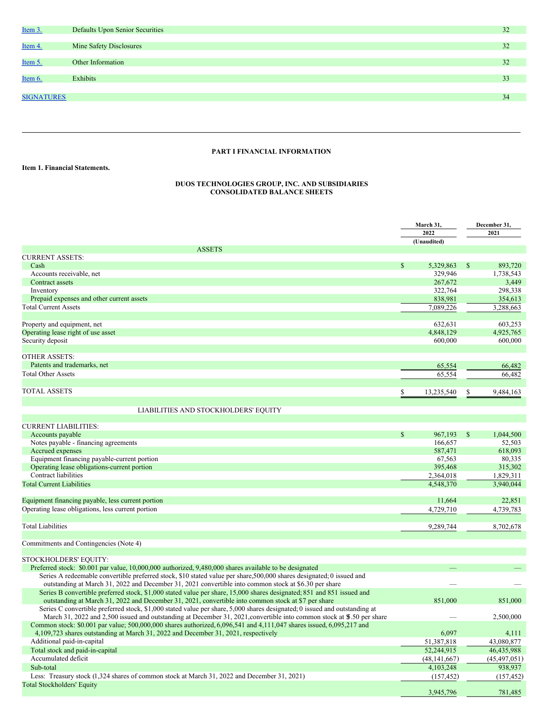

# **PART I FINANCIAL INFORMATION**

**Item 1. Financial Statements.**

## <span id="page-1-0"></span>**DUOS TECHNOLOGIES GROUP, INC. AND SUBSIDIARIES CONSOLIDATED BALANCE SHEETS**

|                                                                                                                                                                                                            | March 31,<br>2022    |              | December 31,<br>2021 |
|------------------------------------------------------------------------------------------------------------------------------------------------------------------------------------------------------------|----------------------|--------------|----------------------|
|                                                                                                                                                                                                            | (Unaudited)          |              |                      |
| <b>ASSETS</b>                                                                                                                                                                                              |                      |              |                      |
| <b>CURRENT ASSETS:</b><br>Cash                                                                                                                                                                             | \$                   | \$           |                      |
| Accounts receivable, net                                                                                                                                                                                   | 5,329,863<br>329,946 |              | 893,720<br>1,738,543 |
| Contract assets                                                                                                                                                                                            | 267,672              |              | 3,449                |
| Inventory                                                                                                                                                                                                  | 322,764              |              | 298,338              |
| Prepaid expenses and other current assets                                                                                                                                                                  | 838,981              |              | 354,613              |
| <b>Total Current Assets</b>                                                                                                                                                                                | 7,089,226            |              | 3,288,663            |
|                                                                                                                                                                                                            |                      |              |                      |
| Property and equipment, net                                                                                                                                                                                | 632,631              |              | 603,253              |
| Operating lease right of use asset                                                                                                                                                                         | 4,848,129            |              | 4,925,765            |
| Security deposit                                                                                                                                                                                           | 600,000              |              | 600,000              |
|                                                                                                                                                                                                            |                      |              |                      |
| <b>OTHER ASSETS:</b>                                                                                                                                                                                       |                      |              |                      |
| Patents and trademarks, net                                                                                                                                                                                | 65,554               |              | 66,482               |
| <b>Total Other Assets</b>                                                                                                                                                                                  | 65,554               |              | 66,482               |
|                                                                                                                                                                                                            |                      |              |                      |
| <b>TOTAL ASSETS</b>                                                                                                                                                                                        | \$<br>13,235,540     | \$           | 9,484,163            |
|                                                                                                                                                                                                            |                      |              |                      |
| LIABILITIES AND STOCKHOLDERS' EQUITY                                                                                                                                                                       |                      |              |                      |
|                                                                                                                                                                                                            |                      |              |                      |
| <b>CURRENT LIABILITIES:</b>                                                                                                                                                                                |                      |              |                      |
| Accounts payable                                                                                                                                                                                           | \$<br>967,193        | $\mathbb{S}$ | 1,044,500            |
| Notes payable - financing agreements                                                                                                                                                                       | 166,657              |              | 52,503               |
| Accrued expenses                                                                                                                                                                                           | 587,471              |              | 618,093              |
| Equipment financing payable-current portion                                                                                                                                                                | 67,563               |              | 80,335               |
| Operating lease obligations-current portion                                                                                                                                                                | 395,468              |              | 315,302              |
| Contract liabilities                                                                                                                                                                                       | 2,364,018            |              | 1,829,311            |
| <b>Total Current Liabilities</b>                                                                                                                                                                           | 4,548,370            |              | 3,940,044            |
| Equipment financing payable, less current portion                                                                                                                                                          | 11,664               |              | 22,851               |
|                                                                                                                                                                                                            |                      |              |                      |
| Operating lease obligations, less current portion                                                                                                                                                          | 4,729,710            |              | 4,739,783            |
| <b>Total Liabilities</b>                                                                                                                                                                                   | 9,289,744            |              | 8,702,678            |
|                                                                                                                                                                                                            |                      |              |                      |
| Commitments and Contingencies (Note 4)                                                                                                                                                                     |                      |              |                      |
|                                                                                                                                                                                                            |                      |              |                      |
| STOCKHOLDERS' EQUITY:                                                                                                                                                                                      |                      |              |                      |
| Preferred stock: \$0.001 par value, 10,000,000 authorized, 9,480,000 shares available to be designated                                                                                                     |                      |              |                      |
| Series A redeemable convertible preferred stock, \$10 stated value per share, 500,000 shares designated; 0 issued and                                                                                      |                      |              |                      |
| outstanding at March 31, 2022 and December 31, 2021 convertible into common stock at \$6.30 per share                                                                                                      |                      |              |                      |
| Series B convertible preferred stock, \$1,000 stated value per share, 15,000 shares designated; 851 and 851 issued and                                                                                     |                      |              |                      |
| outstanding at March 31, 2022 and December 31, 2021, convertible into common stock at \$7 per share                                                                                                        | 851,000              |              | 851,000              |
| Series C convertible preferred stock, \$1,000 stated value per share, 5,000 shares designated; 0 issued and outstanding at                                                                                 |                      |              |                      |
| March 31, 2022 and 2,500 issued and outstanding at December 31, 2021, convertible into common stock at \$.50 per share                                                                                     |                      |              | 2,500,000            |
| Common stock: \$0.001 par value; 500,000,000 shares authorized, 6,096,541 and 4,111,047 shares issued, 6,095,217 and<br>4,109,723 shares outstanding at March 31, 2022 and December 31, 2021, respectively | 6,097                |              |                      |
|                                                                                                                                                                                                            |                      |              | 4,111                |
| Additional paid-in-capital                                                                                                                                                                                 | 51,387,818           |              | 43,080,877           |
| Total stock and paid-in-capital                                                                                                                                                                            | 52,244,915           |              | 46,435,988           |
| Accumulated deficit                                                                                                                                                                                        | (48, 141, 667)       |              | (45, 497, 051)       |
| Sub-total                                                                                                                                                                                                  | 4,103,248            |              | 938,937              |
| Less: Treasury stock (1,324 shares of common stock at March 31, 2022 and December 31, 2021)                                                                                                                | (157, 452)           |              | (157, 452)           |
| <b>Total Stockholders' Equity</b>                                                                                                                                                                          | 3,945,796            |              | 781,485              |
|                                                                                                                                                                                                            |                      |              |                      |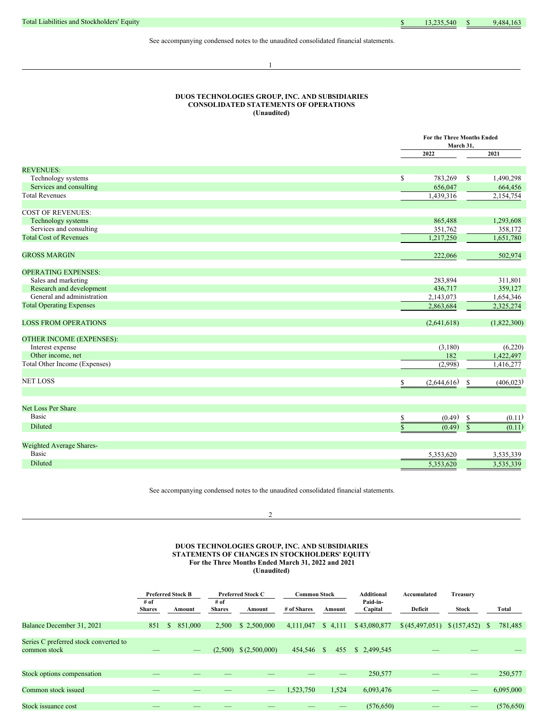See accompanying condensed notes to the unaudited consolidated financial statements.

1

## **DUOS TECHNOLOGIES GROUP, INC. AND SUBSIDIARIES CONSOLIDATED STATEMENTS OF OPERATIONS (Unaudited)**

|                                 |                       | For the Three Months Ended<br>March 31, |
|---------------------------------|-----------------------|-----------------------------------------|
|                                 | 2022                  | 2021                                    |
| <b>REVENUES:</b>                |                       |                                         |
| Technology systems              | \$<br>783,269         | 1,490,298<br>S                          |
| Services and consulting         | 656,047               | 664,456                                 |
| <b>Total Revenues</b>           | 1,439,316             | $\overline{2,}154,754$                  |
| <b>COST OF REVENUES:</b>        |                       |                                         |
| Technology systems              | 865,488               | 1,293,608                               |
| Services and consulting         | 351,762               | 358,172                                 |
| <b>Total Cost of Revenues</b>   | 1,217,250             | 1,651,780                               |
| <b>GROSS MARGIN</b>             | 222,066               | 502,974                                 |
| <b>OPERATING EXPENSES:</b>      |                       |                                         |
| Sales and marketing             | 283,894               | 311,801                                 |
| Research and development        | 436,717               | 359,127                                 |
| General and administration      | 2,143,073             | 1,654,346                               |
| <b>Total Operating Expenses</b> | 2,863,684             | 2,325,274                               |
| <b>LOSS FROM OPERATIONS</b>     | (2,641,618)           | (1,822,300)                             |
| OTHER INCOME (EXPENSES):        |                       |                                         |
| Interest expense                | (3,180)               | (6,220)                                 |
| Other income, net               | 182                   | 1,422,497                               |
| Total Other Income (Expenses)   | (2,998)               | 1,416,277                               |
| <b>NET LOSS</b>                 | \$<br>(2,644,616)     | (406, 023)<br>\$                        |
|                                 |                       |                                         |
| <b>Net Loss Per Share</b>       |                       |                                         |
| <b>Basic</b>                    | (0.49)<br>\$          | \$<br>(0.11)                            |
| Diluted                         | $\mathbf S$<br>(0.49) | $\mathsf{\$}$<br>(0.11)                 |
| Weighted Average Shares-        |                       |                                         |
| <b>Basic</b>                    | 5,353,620             | 3,535,339                               |
| Diluted                         | 5,353,620             | 3,535,339                               |
|                                 |                       |                                         |

See accompanying condensed notes to the unaudited consolidated financial statements.

 $\mathfrak{D}$ 

## **DUOS TECHNOLOGIES GROUP, INC. AND SUBSIDIARIES STATEMENTS OF CHANGES IN STOCKHOLDERS' EQUITY For the Three Months Ended March 31, 2022 and 2021 (Unaudited)**

|                                                       |                       | <b>Preferred Stock B</b> |                          | <b>Preferred Stock C</b>   | <b>Common Stock</b> |         | <b>Additional</b>   | Accumulated       | Treasury |            |
|-------------------------------------------------------|-----------------------|--------------------------|--------------------------|----------------------------|---------------------|---------|---------------------|-------------------|----------|------------|
|                                                       | # of<br><b>Shares</b> | Amount                   | # of<br><b>Shares</b>    | Amount                     | # of Shares         | Amount  | Paid-in-<br>Capital | Deficit           | Stock    | Total      |
| Balance December 31, 2021                             | 851                   | 851,000<br><sup>S</sup>  | 2,500                    | \$2,500,000                | 4,111,047           | \$4,111 | \$43,080,877        | \$ (45, 497, 051) |          | 781,485    |
| Series C preferred stock converted to<br>common stock |                       |                          |                          | $(2,500)$ \$ $(2,500,000)$ | 454,546 \$          | 455     | \$2,499,545         |                   |          |            |
| Stock options compensation                            | _                     | __                       | $\overline{\phantom{a}}$ |                            |                     | $-$     | 250,577             | _                 | __       | 250,577    |
| Common stock issued                                   |                       |                          |                          |                            | 1,523,750           | 1,524   | 6,093,476           |                   |          | 6,095,000  |
| Stock issuance cost                                   |                       |                          |                          |                            |                     |         | (576, 650)          |                   |          | (576, 650) |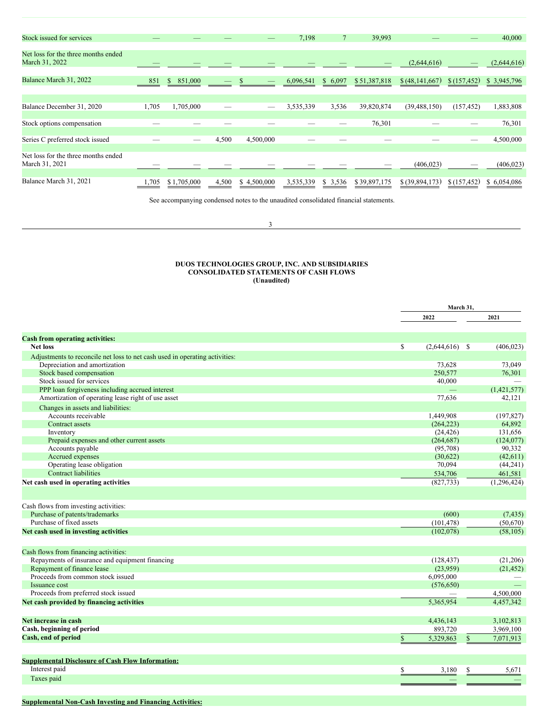| Stock issued for services                             |       |               |       |             | 7,198     |         | 39,993       |                  |              | 40,000      |
|-------------------------------------------------------|-------|---------------|-------|-------------|-----------|---------|--------------|------------------|--------------|-------------|
| Net loss for the three months ended<br>March 31, 2022 |       |               |       |             |           |         |              | (2,644,616)      |              | (2,644,616) |
| Balance March 31, 2022                                | 851   | 851,000<br>S. |       |             | 6,096,541 | \$6,097 | \$51,387,818 | \$(48,141,667)   | \$(157, 452) | \$3,945,796 |
| Balance December 31, 2020                             | 1,705 | 1,705,000     | _     |             | 3,535,339 | 3,536   | 39,820,874   | (39, 488, 150)   | (157, 452)   | 1,883,808   |
| Stock options compensation                            |       |               |       |             |           |         | 76,301       |                  |              | 76,301      |
| Series C preferred stock issued                       |       |               | 4,500 | 4,500,000   |           |         |              |                  |              | 4,500,000   |
| Net loss for the three months ended<br>March 31, 2021 |       |               |       |             |           |         |              | (406, 023)       |              | (406, 023)  |
| Balance March 31, 2021                                | 705   | \$1,705,000   | 4,500 | \$4,500,000 | 3,535,339 | \$3,536 | \$39,897,175 | $$$ (39,894,173) | \$(157, 452) | \$6,054,086 |

See accompanying condensed notes to the unaudited consolidated financial statements.

## 3

## **DUOS TECHNOLOGIES GROUP, INC. AND SUBSIDIARIES CONSOLIDATED STATEMENTS OF CASH FLOWS (Unaudited)**

|                                                                             |              | March 31,   |              |               |
|-----------------------------------------------------------------------------|--------------|-------------|--------------|---------------|
|                                                                             |              | 2022        |              | 2021          |
|                                                                             |              |             |              |               |
| <b>Cash from operating activities:</b><br><b>Net loss</b>                   | $\mathbb{S}$ | (2,644,616) | -S           | (406, 023)    |
| Adjustments to reconcile net loss to net cash used in operating activities: |              |             |              |               |
| Depreciation and amortization                                               |              | 73,628      |              | 73,049        |
| Stock based compensation                                                    |              | 250,577     |              | 76,301        |
| Stock issued for services                                                   |              | 40,000      |              |               |
| PPP loan forgiveness including accrued interest                             |              |             |              | (1,421,577)   |
| Amortization of operating lease right of use asset                          |              | 77,636      |              | 42,121        |
| Changes in assets and liabilities:                                          |              |             |              |               |
| Accounts receivable                                                         |              | 1,449,908   |              | (197, 827)    |
| Contract assets                                                             |              | (264, 223)  |              | 64,892        |
| Inventory                                                                   |              | (24, 426)   |              | 131,656       |
| Prepaid expenses and other current assets                                   |              | (264, 687)  |              | (124, 077)    |
| Accounts payable                                                            |              | (95,708)    |              | 90,332        |
| Accrued expenses                                                            |              | (30,622)    |              | (42,611)      |
| Operating lease obligation                                                  |              | 70,094      |              | (44,241)      |
| <b>Contract liabilities</b>                                                 |              | 534,706     |              | 461.581       |
| Net cash used in operating activities                                       |              | (827, 733)  |              | (1, 296, 424) |
|                                                                             |              |             |              |               |
| Cash flows from investing activities:                                       |              |             |              |               |
| Purchase of patents/trademarks                                              |              | (600)       |              | (7, 435)      |
| Purchase of fixed assets                                                    |              | (101, 478)  |              | (50,670)      |
| Net cash used in investing activities                                       |              | (102,078)   |              | (58, 105)     |
| Cash flows from financing activities:                                       |              |             |              |               |
| Repayments of insurance and equipment financing                             |              | (128, 437)  |              | (21,206)      |
| Repayment of finance lease                                                  |              | (23,959)    |              | (21, 452)     |
| Proceeds from common stock issued                                           |              | 6.095.000   |              |               |
| Issuance cost                                                               |              | (576, 650)  |              |               |
| Proceeds from preferred stock issued                                        |              |             |              | 4,500,000     |
| Net cash provided by financing activities                                   |              | 5.365.954   |              | 4.457.342     |
|                                                                             |              |             |              |               |
| Net increase in cash                                                        |              | 4,436,143   |              | 3,102,813     |
| Cash, beginning of period                                                   |              | 893,720     |              | 3,969,100     |
| Cash, end of period                                                         | $\mathbb{S}$ | 5,329,863   | $\mathbb{S}$ | 7,071,913     |
|                                                                             |              |             |              |               |
| <b>Supplemental Disclosure of Cash Flow Information:</b>                    |              |             |              |               |
| Interest paid                                                               | \$           | 3,180       | \$           | 5,671         |
| Taxes paid                                                                  |              |             |              |               |
|                                                                             |              |             |              |               |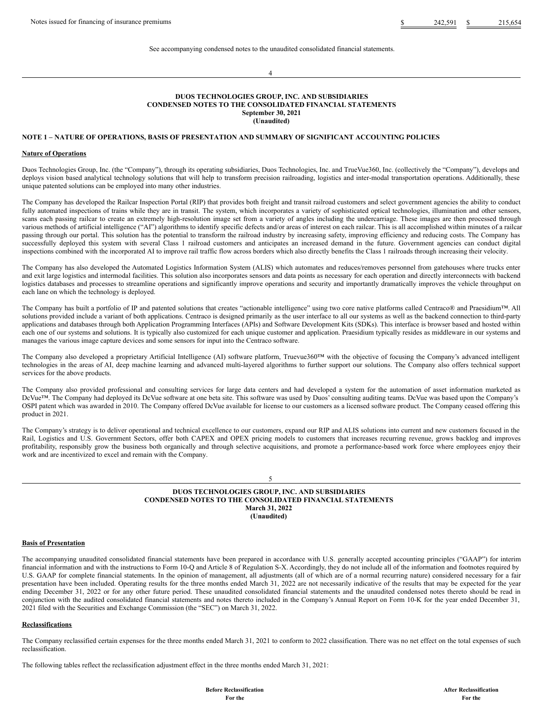See accompanying condensed notes to the unaudited consolidated financial statements.

4

#### **DUOS TECHNOLOGIES GROUP, INC. AND SUBSIDIARIES CONDENSED NOTES TO THE CONSOLIDATED FINANCIAL STATEMENTS September 30, 2021 (Unaudited)**

## **NOTE 1 – NATURE OF OPERATIONS, BASIS OF PRESENTATION AND SUMMARY OF SIGNIFICANT ACCOUNTING POLICIES**

#### **Nature of Operations**

Duos Technologies Group, Inc. (the "Company"), through its operating subsidiaries, Duos Technologies, Inc. and TrueVue360, Inc. (collectively the "Company"), develops and deploys vision based analytical technology solutions that will help to transform precision railroading, logistics and inter-modal transportation operations. Additionally, these unique patented solutions can be employed into many other industries.

The Company has developed the Railcar Inspection Portal (RIP) that provides both freight and transit railroad customers and select government agencies the ability to conduct fully automated inspections of trains while they are in transit. The system, which incorporates a variety of sophisticated optical technologies, illumination and other sensors, scans each passing railcar to create an extremely high-resolution image set from a variety of angles including the undercarriage. These images are then processed through various methods of artificial intelligence ("AI") algorithms to identify specific defects and/or areas of interest on each railcar. This is all accomplished within minutes of a railcar passing through our portal. This solution has the potential to transform the railroad industry by increasing safety, improving efficiency and reducing costs. The Company has successfully deployed this system with several Class 1 railroad customers and anticipates an increased demand in the future. Government agencies can conduct digital inspections combined with the incorporated AI to improve rail traffic flow across borders which also directly benefits the Class 1 railroads through increasing their velocity.

The Company has also developed the Automated Logistics Information System (ALIS) which automates and reduces/removes personnel from gatehouses where trucks enter and exit large logistics and intermodal facilities. This solution also incorporates sensors and data points as necessary for each operation and directly interconnects with backend logistics databases and processes to streamline operations and significantly improve operations and security and importantly dramatically improves the vehicle throughput on each lane on which the technology is deployed.

The Company has built a portfolio of IP and patented solutions that creates "actionable intelligence" using two core native platforms called Centraco® and Praesidium™. All solutions provided include a variant of both applications. Centraco is designed primarily as the user interface to all our systems as well as the backend connection to third-party applications and databases through both Application Programming Interfaces (APIs) and Software Development Kits (SDKs). This interface is browser based and hosted within each one of our systems and solutions. It is typically also customized for each unique customer and application. Praesidium typically resides as middleware in our systems and manages the various image capture devices and some sensors for input into the Centraco software.

The Company also developed a proprietary Artificial Intelligence (AI) software platform, Truevue360™ with the objective of focusing the Company's advanced intelligent technologies in the areas of AI, deep machine learning and advanced multi-layered algorithms to further support our solutions. The Company also offers technical support services for the above products.

The Company also provided professional and consulting services for large data centers and had developed a system for the automation of asset information marketed as DcVue™. The Company had deployed its DcVue software at one beta site. This software was used by Duos' consulting auditing teams. DcVue was based upon the Company's OSPI patent which was awarded in 2010. The Company offered DcVue available for license to our customers as a licensed software product. The Company ceased offering this product in 2021.

The Company's strategy is to deliver operational and technical excellence to our customers, expand our RIP and ALIS solutions into current and new customers focused in the Rail, Logistics and U.S. Government Sectors, offer both CAPEX and OPEX pricing models to customers that increases recurring revenue, grows backlog and improves profitability, responsibly grow the business both organically and through selective acquisitions, and promote a performance-based work force where employees enjoy their work and are incentivized to excel and remain with the Company.

## 5

## **DUOS TECHNOLOGIES GROUP, INC. AND SUBSIDIARIES CONDENSED NOTES TO THE CONSOLIDATED FINANCIAL STATEMENTS March 31, 2022 (Unaudited)**

## **Basis of Presentation**

The accompanying unaudited consolidated financial statements have been prepared in accordance with U.S. generally accepted accounting principles ("GAAP") for interim financial information and with the instructions to Form 10-Q and Article 8 of Regulation S-X. Accordingly, they do not include all of the information and footnotes required by U.S. GAAP for complete financial statements. In the opinion of management, all adjustments (all of which are of a normal recurring nature) considered necessary for a fair presentation have been included. Operating results for the three months ended March 31, 2022 are not necessarily indicative of the results that may be expected for the year ending December 31, 2022 or for any other future period. These unaudited consolidated financial statements and the unaudited condensed notes thereto should be read in conjunction with the audited consolidated financial statements and notes thereto included in the Company's Annual Report on Form 10-K for the year ended December 31, 2021 filed with the Securities and Exchange Commission (the "SEC") on March 31, 2022.

## **Reclassifications**

The Company reclassified certain expenses for the three months ended March 31, 2021 to conform to 2022 classification. There was no net effect on the total expenses of such reclassification.

The following tables reflect the reclassification adjustment effect in the three months ended March 31, 2021: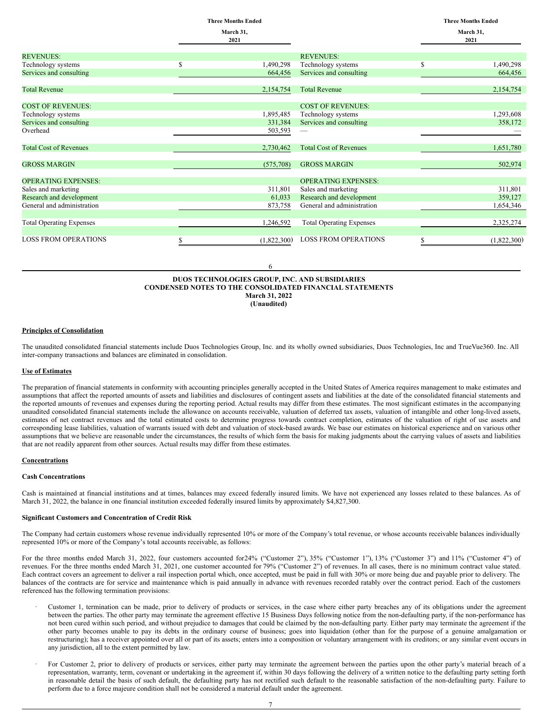|                                 | <b>Three Months Ended</b> |                                 | <b>Three Months Ended</b> |
|---------------------------------|---------------------------|---------------------------------|---------------------------|
|                                 | March 31,<br>2021         |                                 | March 31,<br>2021         |
| <b>REVENUES:</b>                |                           | <b>REVENUES:</b>                |                           |
| Technology systems              | S<br>1,490,298            | Technology systems              | \$<br>1,490,298           |
| Services and consulting         | 664,456                   | Services and consulting         | 664,456                   |
| <b>Total Revenue</b>            | 2,154,754                 | <b>Total Revenue</b>            | 2,154,754                 |
| <b>COST OF REVENUES:</b>        |                           | <b>COST OF REVENUES:</b>        |                           |
| Technology systems              | 1,895,485                 | Technology systems              | 1,293,608                 |
| Services and consulting         | 331,384                   | Services and consulting         | 358,172                   |
| Overhead                        | 503,593                   |                                 |                           |
| <b>Total Cost of Revenues</b>   | 2,730,462                 | <b>Total Cost of Revenues</b>   | 1,651,780                 |
| <b>GROSS MARGIN</b>             | (575,708)                 | <b>GROSS MARGIN</b>             | 502,974                   |
| <b>OPERATING EXPENSES:</b>      |                           | <b>OPERATING EXPENSES:</b>      |                           |
| Sales and marketing             | 311,801                   | Sales and marketing             | 311,801                   |
| Research and development        | 61,033                    | Research and development        | 359,127                   |
| General and administration      | 873,758                   | General and administration      | 1,654,346                 |
| <b>Total Operating Expenses</b> | 1,246,592                 | <b>Total Operating Expenses</b> | 2,325,274                 |
| <b>LOSS FROM OPERATIONS</b>     | (1,822,300)               | <b>LOSS FROM OPERATIONS</b>     | \$<br>(1,822,300)         |

6

#### **DUOS TECHNOLOGIES GROUP, INC. AND SUBSIDIARIES CONDENSED NOTES TO THE CONSOLIDATED FINANCIAL STATEMENTS March 31, 2022 (Unaudited)**

## **Principles of Consolidation**

The unaudited consolidated financial statements include Duos Technologies Group, Inc. and its wholly owned subsidiaries, Duos Technologies, Inc and TrueVue360. Inc. All inter-company transactions and balances are eliminated in consolidation.

## **Use of Estimates**

The preparation of financial statements in conformity with accounting principles generally accepted in the United States of America requires management to make estimates and assumptions that affect the reported amounts of assets and liabilities and disclosures of contingent assets and liabilities at the date of the consolidated financial statements and the reported amounts of revenues and expenses during the reporting period. Actual results may differ from these estimates. The most significant estimates in the accompanying unaudited consolidated financial statements include the allowance on accounts receivable, valuation of deferred tax assets, valuation of intangible and other long-lived assets, estimates of net contract revenues and the total estimated costs to determine progress towards contract completion, estimates of the valuation of right of use assets and corresponding lease liabilities, valuation of warrants issued with debt and valuation of stock-based awards. We base our estimates on historical experience and on various other assumptions that we believe are reasonable under the circumstances, the results of which form the basis for making judgments about the carrying values of assets and liabilities that are not readily apparent from other sources. Actual results may differ from these estimates.

## **Concentrations**

## **Cash Concentrations**

Cash is maintained at financial institutions and at times, balances may exceed federally insured limits. We have not experienced any losses related to these balances. As of March 31, 2022, the balance in one financial institution exceeded federally insured limits by approximately \$4,827,300.

## **Significant Customers and Concentration of Credit Risk**

The Company had certain customers whose revenue individually represented 10% or more of the Company's total revenue, or whose accounts receivable balances individually represented 10% or more of the Company's total accounts receivable, as follows:

For the three months ended March 31, 2022, four customers accounted for 24% ("Customer 2"), 35% ("Customer 1"), 13% ("Customer 3") and 11% ("Customer 4") of revenues. For the three months ended March 31, 2021, one customer accounted for 79% ("Customer 2") of revenues. In all cases, there is no minimum contract value stated. Each contract covers an agreement to deliver a rail inspection portal which, once accepted, must be paid in full with 30% or more being due and payable prior to delivery. The balances of the contracts are for service and maintenance which is paid annually in advance with revenues recorded ratably over the contract period. Each of the customers referenced has the following termination provisions:

- Customer 1, termination can be made, prior to delivery of products or services, in the case where either party breaches any of its obligations under the agreement between the parties. The other party may terminate the agreement effective 15 Business Days following notice from the non-defaulting party, if the non-performance has not been cured within such period, and without prejudice to damages that could be claimed by the non-defaulting party. Either party may terminate the agreement if the other party becomes unable to pay its debts in the ordinary course of business; goes into liquidation (other than for the purpose of a genuine amalgamation or restructuring); has a receiver appointed over all or part of its assets; enters into a composition or voluntary arrangement with its creditors; or any similar event occurs in any jurisdiction, all to the extent permitted by law.
- For Customer 2, prior to delivery of products or services, either party may terminate the agreement between the parties upon the other party's material breach of a representation, warranty, term, covenant or undertaking in the agreement if, within 30 days following the delivery of a written notice to the defaulting party setting forth in reasonable detail the basis of such default, the defaulting party has not rectified such default to the reasonable satisfaction of the non-defaulting party. Failure to perform due to a force majeure condition shall not be considered a material default under the agreement.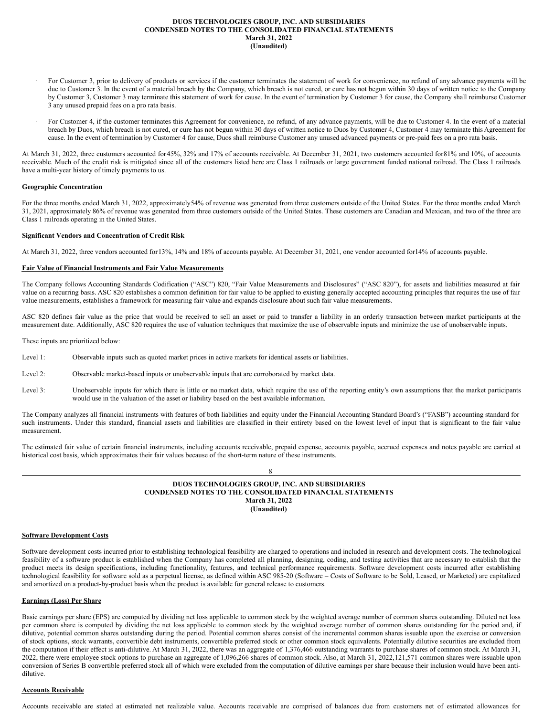## **DUOS TECHNOLOGIES GROUP, INC. AND SUBSIDIARIES CONDENSED NOTES TO THE CONSOLIDATED FINANCIAL STATEMENTS March 31, 2022 (Unaudited)**

- For Customer 3, prior to delivery of products or services if the customer terminates the statement of work for convenience, no refund of any advance payments will be due to Customer 3. In the event of a material breach by the Company, which breach is not cured, or cure has not begun within 30 days of written notice to the Company by Customer 3, Customer 3 may terminate this statement of work for cause. In the event of termination by Customer 3 for cause, the Company shall reimburse Customer 3 any unused prepaid fees on a pro rata basis.
- For Customer 4, if the customer terminates this Agreement for convenience, no refund, of any advance payments, will be due to Customer 4. In the event of a material breach by Duos, which breach is not cured, or cure has not begun within 30 days of written notice to Duos by Customer 4, Customer 4 may terminate this Agreement for cause. In the event of termination by Customer 4 for cause, Duos shall reimburse Customer any unused advanced payments or pre-paid fees on a pro rata basis.

At March 31, 2022, three customers accounted for45%, 32% and 17% of accounts receivable. At December 31, 2021, two customers accounted for81% and 10%, of accounts receivable. Much of the credit risk is mitigated since all of the customers listed here are Class 1 railroads or large government funded national railroad. The Class 1 railroads have a multi-year history of timely payments to us.

#### **Geographic Concentration**

For the three months ended March 31, 2022, approximately54% of revenue was generated from three customers outside of the United States. For the three months ended March 31, 2021, approximately 86% of revenue was generated from three customers outside of the United States. These customers are Canadian and Mexican, and two of the three are Class 1 railroads operating in the United States.

## **Significant Vendors and Concentration of Credit Risk**

At March 31, 2022, three vendors accounted for13%, 14% and 18% of accounts payable. At December 31, 2021, one vendor accounted for14% of accounts payable.

## **Fair Value of Financial Instruments and Fair Value Measurements**

The Company follows Accounting Standards Codification ("ASC") 820, "Fair Value Measurements and Disclosures" ("ASC 820"), for assets and liabilities measured at fair value on a recurring basis. ASC 820 establishes a common definition for fair value to be applied to existing generally accepted accounting principles that requires the use of fair value measurements, establishes a framework for measuring fair value and expands disclosure about such fair value measurements.

ASC 820 defines fair value as the price that would be received to sell an asset or paid to transfer a liability in an orderly transaction between market participants at the measurement date. Additionally, ASC 820 requires the use of valuation techniques that maximize the use of observable inputs and minimize the use of unobservable inputs.

These inputs are prioritized below:

- Level 1: Observable inputs such as quoted market prices in active markets for identical assets or liabilities.
- Level 2: Observable market-based inputs or unobservable inputs that are corroborated by market data.
- Level 3: Unobservable inputs for which there is little or no market data, which require the use of the reporting entity's own assumptions that the market participants would use in the valuation of the asset or liability based on the best available information.

The Company analyzes all financial instruments with features of both liabilities and equity under the Financial Accounting Standard Board's ("FASB") accounting standard for such instruments. Under this standard, financial assets and liabilities are classified in their entirety based on the lowest level of input that is significant to the fair value measurement.

The estimated fair value of certain financial instruments, including accounts receivable, prepaid expense, accounts payable, accrued expenses and notes payable are carried at historical cost basis, which approximates their fair values because of the short-term nature of these instruments.

8

## **DUOS TECHNOLOGIES GROUP, INC. AND SUBSIDIARIES CONDENSED NOTES TO THE CONSOLIDATED FINANCIAL STATEMENTS March 31, 2022 (Unaudited)**

## **Software Development Costs**

Software development costs incurred prior to establishing technological feasibility are charged to operations and included in research and development costs. The technological feasibility of a software product is established when the Company has completed all planning, designing, coding, and testing activities that are necessary to establish that the product meets its design specifications, including functionality, features, and technical performance requirements. Software development costs incurred after establishing technological feasibility for software sold as a perpetual license, as defined within ASC 985-20 (Software – Costs of Software to be Sold, Leased, or Marketed) are capitalized and amortized on a product-by-product basis when the product is available for general release to customers.

## **Earnings (Loss) Per Share**

Basic earnings per share (EPS) are computed by dividing net loss applicable to common stock by the weighted average number of common shares outstanding. Diluted net loss per common share is computed by dividing the net loss applicable to common stock by the weighted average number of common shares outstanding for the period and, if dilutive, potential common shares outstanding during the period. Potential common shares consist of the incremental common shares issuable upon the exercise or conversion of stock options, stock warrants, convertible debt instruments, convertible preferred stock or other common stock equivalents. Potentially dilutive securities are excluded from the computation if their effect is anti-dilutive. At March 31, 2022, there was an aggregate of 1,376,466 outstanding warrants to purchase shares of common stock. At March 31, 2022, there were employee stock options to purchase an aggregate of 1,096,266 shares of common stock. Also, at March 31, 2022,121,571 common shares were issuable upon conversion of Series B convertible preferred stock all of which were excluded from the computation of dilutive earnings per share because their inclusion would have been antidilutive.

## **Accounts Receivable**

Accounts receivable are stated at estimated net realizable value. Accounts receivable are comprised of balances due from customers net of estimated allowances for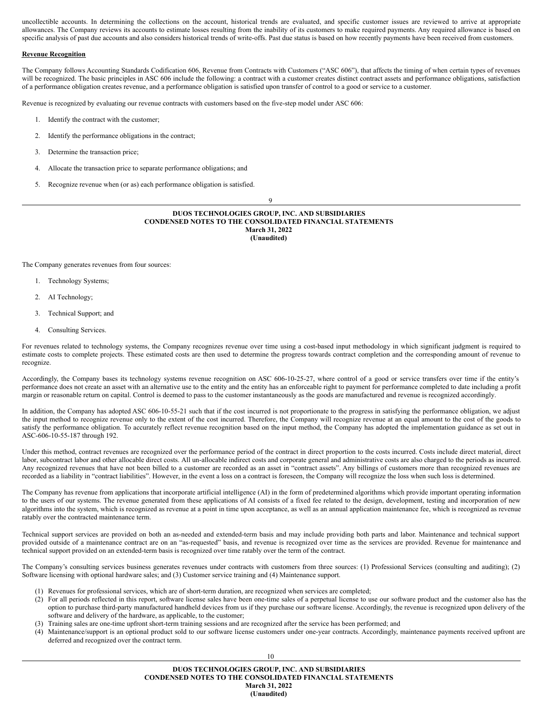uncollectible accounts. In determining the collections on the account, historical trends are evaluated, and specific customer issues are reviewed to arrive at appropriate allowances. The Company reviews its accounts to estimate losses resulting from the inability of its customers to make required payments. Any required allowance is based on specific analysis of past due accounts and also considers historical trends of write-offs. Past due status is based on how recently payments have been received from customers.

## **Revenue Recognition**

The Company follows Accounting Standards Codification 606, Revenue from Contracts with Customers ("ASC 606"), that affects the timing of when certain types of revenues will be recognized. The basic principles in ASC 606 include the following: a contract with a customer creates distinct contract assets and performance obligations, satisfaction of a performance obligation creates revenue, and a performance obligation is satisfied upon transfer of control to a good or service to a customer.

Revenue is recognized by evaluating our revenue contracts with customers based on the five-step model under ASC 606:

- 1. Identify the contract with the customer;
- 2. Identify the performance obligations in the contract;
- 3. Determine the transaction price;
- 4. Allocate the transaction price to separate performance obligations; and
- 5. Recognize revenue when (or as) each performance obligation is satisfied.

9

#### **DUOS TECHNOLOGIES GROUP, INC. AND SUBSIDIARIES CONDENSED NOTES TO THE CONSOLIDATED FINANCIAL STATEMENTS March 31, 2022 (Unaudited)**

The Company generates revenues from four sources:

- 1. Technology Systems;
- 2. AI Technology;
- 3. Technical Support; and
- 4. Consulting Services.

For revenues related to technology systems, the Company recognizes revenue over time using a cost-based input methodology in which significant judgment is required to estimate costs to complete projects. These estimated costs are then used to determine the progress towards contract completion and the corresponding amount of revenue to recognize.

Accordingly, the Company bases its technology systems revenue recognition on ASC 606-10-25-27, where control of a good or service transfers over time if the entity's performance does not create an asset with an alternative use to the entity and the entity has an enforceable right to payment for performance completed to date including a profit margin or reasonable return on capital. Control is deemed to pass to the customer instantaneously as the goods are manufactured and revenue is recognized accordingly.

In addition, the Company has adopted ASC 606-10-55-21 such that if the cost incurred is not proportionate to the progress in satisfying the performance obligation, we adjust the input method to recognize revenue only to the extent of the cost incurred. Therefore, the Company will recognize revenue at an equal amount to the cost of the goods to satisfy the performance obligation. To accurately reflect revenue recognition based on the input method, the Company has adopted the implementation guidance as set out in ASC-606-10-55-187 through 192.

Under this method, contract revenues are recognized over the performance period of the contract in direct proportion to the costs incurred. Costs include direct material, direct labor, subcontract labor and other allocable direct costs. All un-allocable indirect costs and corporate general and administrative costs are also charged to the periods as incurred. Any recognized revenues that have not been billed to a customer are recorded as an asset in "contract assets". Any billings of customers more than recognized revenues are recorded as a liability in "contract liabilities". However, in the event a loss on a contract is foreseen, the Company will recognize the loss when such loss is determined.

The Company has revenue from applications that incorporate artificial intelligence (AI) in the form of predetermined algorithms which provide important operating information to the users of our systems. The revenue generated from these applications of AI consists of a fixed fee related to the design, development, testing and incorporation of new algorithms into the system, which is recognized as revenue at a point in time upon acceptance, as well as an annual application maintenance fee, which is recognized as revenue ratably over the contracted maintenance term.

Technical support services are provided on both an as-needed and extended-term basis and may include providing both parts and labor. Maintenance and technical support provided outside of a maintenance contract are on an "as-requested" basis, and revenue is recognized over time as the services are provided. Revenue for maintenance and technical support provided on an extended-term basis is recognized over time ratably over the term of the contract.

The Company's consulting services business generates revenues under contracts with customers from three sources: (1) Professional Services (consulting and auditing); (2) Software licensing with optional hardware sales; and (3) Customer service training and (4) Maintenance support.

- (1) Revenues for professional services, which are of short-term duration, are recognized when services are completed;
- (2) For all periods reflected in this report, software license sales have been one-time sales of a perpetual license to use our software product and the customer also has the option to purchase third-party manufactured handheld devices from us if they purchase our software license. Accordingly, the revenue is recognized upon delivery of the software and delivery of the hardware, as applicable, to the customer;
- (3) Training sales are one-time upfront short-term training sessions and are recognized after the service has been performed; and
- (4) Maintenance/support is an optional product sold to our software license customers under one-year contracts. Accordingly, maintenance payments received upfront are deferred and recognized over the contract term.

10

**DUOS TECHNOLOGIES GROUP, INC. AND SUBSIDIARIES CONDENSED NOTES TO THE CONSOLIDATED FINANCIAL STATEMENTS March 31, 2022 (Unaudited)**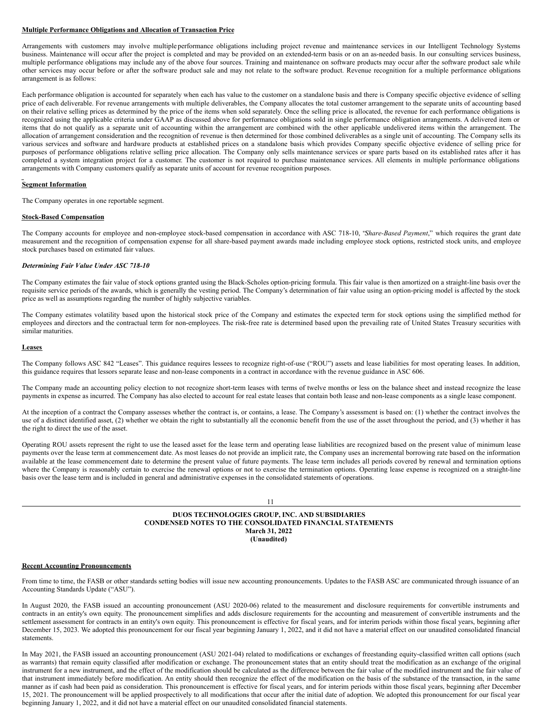#### **Multiple Performance Obligations and Allocation of Transaction Price**

Arrangements with customers may involve multiple performance obligations including project revenue and maintenance services in our Intelligent Technology Systems business. Maintenance will occur after the project is completed and may be provided on an extended-term basis or on an as-needed basis. In our consulting services business, multiple performance obligations may include any of the above four sources. Training and maintenance on software products may occur after the software product sale while other services may occur before or after the software product sale and may not relate to the software product. Revenue recognition for a multiple performance obligations arrangement is as follows:

Each performance obligation is accounted for separately when each has value to the customer on a standalone basis and there is Company specific objective evidence of selling price of each deliverable. For revenue arrangements with multiple deliverables, the Company allocates the total customer arrangement to the separate units of accounting based on their relative selling prices as determined by the price of the items when sold separately. Once the selling price is allocated, the revenue for each performance obligations is recognized using the applicable criteria under GAAP as discussed above for performance obligations sold in single performance obligation arrangements. A delivered item or items that do not qualify as a separate unit of accounting within the arrangement are combined with the other applicable undelivered items within the arrangement. The allocation of arrangement consideration and the recognition of revenue is then determined for those combined deliverables as a single unit of accounting. The Company sells its various services and software and hardware products at established prices on a standalone basis which provides Company specific objective evidence of selling price for purposes of performance obligations relative selling price allocation. The Company only sells maintenance services or spare parts based on its established rates after it has completed a system integration project for a customer. The customer is not required to purchase maintenance services. All elements in multiple performance obligations arrangements with Company customers qualify as separate units of account for revenue recognition purposes.

#### **Segment Information**

The Company operates in one reportable segment.

#### **Stock-Based Compensation**

The Company accounts for employee and non-employee stock-based compensation in accordance with ASC 718-10, "*Share-Based Payment*," which requires the grant date measurement and the recognition of compensation expense for all share-based payment awards made including employee stock options, restricted stock units, and employee stock purchases based on estimated fair values.

#### *Determining Fair Value Under ASC 718-10*

The Company estimates the fair value of stock options granted using the Black-Scholes option-pricing formula. This fair value is then amortized on a straight-line basis over the requisite service periods of the awards, which is generally the vesting period. The Company's determination of fair value using an option-pricing model is affected by the stock price as well as assumptions regarding the number of highly subjective variables.

The Company estimates volatility based upon the historical stock price of the Company and estimates the expected term for stock options using the simplified method for employees and directors and the contractual term for non-employees. The risk-free rate is determined based upon the prevailing rate of United States Treasury securities with similar maturities.

#### **Leases**

The Company follows ASC 842 "Leases". This guidance requires lessees to recognize right-of-use ("ROU") assets and lease liabilities for most operating leases. In addition, this guidance requires that lessors separate lease and non-lease components in a contract in accordance with the revenue guidance in ASC 606.

The Company made an accounting policy election to not recognize short-term leases with terms of twelve months or less on the balance sheet and instead recognize the lease payments in expense as incurred. The Company has also elected to account for real estate leases that contain both lease and non-lease components as a single lease component.

At the inception of a contract the Company assesses whether the contract is, or contains, a lease. The Company's assessment is based on: (1) whether the contract involves the use of a distinct identified asset, (2) whether we obtain the right to substantially all the economic benefit from the use of the asset throughout the period, and (3) whether it has the right to direct the use of the asset.

Operating ROU assets represent the right to use the leased asset for the lease term and operating lease liabilities are recognized based on the present value of minimum lease payments over the lease term at commencement date. As most leases do not provide an implicit rate, the Company uses an incremental borrowing rate based on the information available at the lease commencement date to determine the present value of future payments. The lease term includes all periods covered by renewal and termination options where the Company is reasonably certain to exercise the renewal options or not to exercise the termination options. Operating lease expense is recognized on a straight-line basis over the lease term and is included in general and administrative expenses in the consolidated statements of operations.

#### 11

**DUOS TECHNOLOGIES GROUP, INC. AND SUBSIDIARIES CONDENSED NOTES TO THE CONSOLIDATED FINANCIAL STATEMENTS March 31, 2022 (Unaudited)**

## **Recent Accounting Pronouncements**

From time to time, the FASB or other standards setting bodies will issue new accounting pronouncements. Updates to the FASB ASC are communicated through issuance of an Accounting Standards Update ("ASU").

In August 2020, the FASB issued an accounting pronouncement (ASU 2020-06) related to the measurement and disclosure requirements for convertible instruments and contracts in an entity's own equity. The pronouncement simplifies and adds disclosure requirements for the accounting and measurement of convertible instruments and the settlement assessment for contracts in an entity's own equity. This pronouncement is effective for fiscal years, and for interim periods within those fiscal years, beginning after December 15, 2023. We adopted this pronouncement for our fiscal year beginning January 1, 2022, and it did not have a material effect on our unaudited consolidated financial statements.

In May 2021, the FASB issued an accounting pronouncement (ASU 2021-04) related to modifications or exchanges of freestanding equity-classified written call options (such as warrants) that remain equity classified after modification or exchange. The pronouncement states that an entity should treat the modification as an exchange of the original instrument for a new instrument, and the effect of the modification should be calculated as the difference between the fair value of the modified instrument and the fair value of that instrument immediately before modification. An entity should then recognize the effect of the modification on the basis of the substance of the transaction, in the same manner as if cash had been paid as consideration. This pronouncement is effective for fiscal years, and for interim periods within those fiscal years, beginning after December 15, 2021. The pronouncement will be applied prospectively to all modifications that occur after the initial date of adoption. We adopted this pronouncement for our fiscal year beginning January 1, 2022, and it did not have a material effect on our unaudited consolidated financial statements.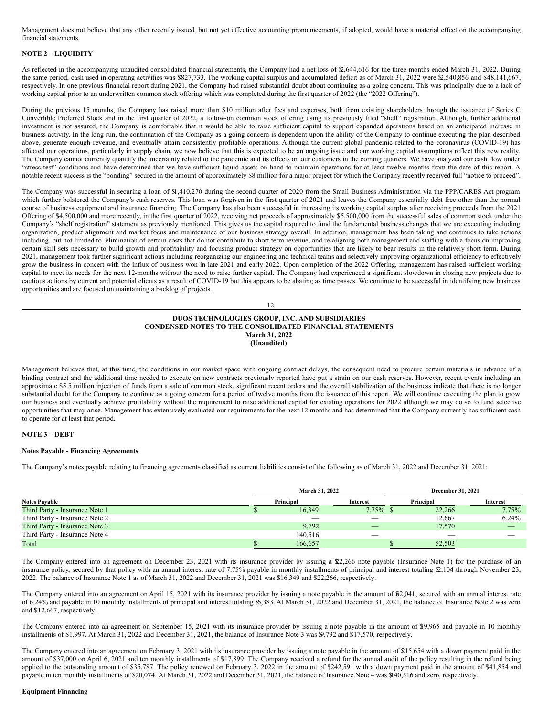Management does not believe that any other recently issued, but not yet effective accounting pronouncements, if adopted, would have a material effect on the accompanying financial statements.

## **NOTE 2 – LIQUIDITY**

As reflected in the accompanying unaudited consolidated financial statements, the Company had a net loss of \$2,644,616 for the three months ended March 31, 2022. During the same period, cash used in operating activities was \$827,733. The working capital surplus and accumulated deficit as of March 31, 2022 were \$2,540,856 and \$48,141,667, respectively. In one previous financial report during 2021, the Company had raised substantial doubt about continuing as a going concern. This was principally due to a lack of working capital prior to an underwritten common stock offering which was completed during the first quarter of 2022 (the "2022 Offering").

During the previous 15 months, the Company has raised more than \$10 million after fees and expenses, both from existing shareholders through the issuance of Series C Convertible Preferred Stock and in the first quarter of 2022, a follow-on common stock offering using its previously filed "shelf" registration. Although, further additional investment is not assured, the Company is comfortable that it would be able to raise sufficient capital to support expanded operations based on an anticipated increase in business activity. In the long run, the continuation of the Company as a going concern is dependent upon the ability of the Company to continue executing the plan described above, generate enough revenue, and eventually attain consistently profitable operations. Although the current global pandemic related to the coronavirus (COVID-19) has affected our operations, particularly in supply chain, we now believe that this is expected to be an ongoing issue and our working capital assumptions reflect this new reality. The Company cannot currently quantify the uncertainty related to the pandemic and its effects on our customers in the coming quarters. We have analyzed our cash flow under "stress test" conditions and have determined that we have sufficient liquid assets on hand to maintain operations for at least twelve months from the date of this report. A notable recent success is the "bonding" secured in the amount of approximately \$8 million for a major project for which the Company recently received full "notice to proceed".

The Company was successful in securing a loan of \$1,410,270 during the second quarter of 2020 from the Small Business Administration via the PPP/CARES Act program which further bolstered the Company's cash reserves. This loan was forgiven in the first quarter of 2021 and leaves the Company essentially debt free other than the normal course of business equipment and insurance financing. The Company has also been successful in increasing its working capital surplus after receiving proceeds from the 2021 Offering of \$4,500,000 and more recently, in the first quarter of 2022, receiving net proceeds of approximately \$5,500,000 from the successful sales of common stock under the Company's "shelf registration" statement as previously mentioned. This gives us the capital required to fund the fundamental business changes that we are executing including organization, product alignment and market focus and maintenance of our business strategy overall. In addition, management has been taking and continues to take actions including, but not limited to, elimination of certain costs that do not contribute to short term revenue, and re-aligning both management and staffing with a focus on improving certain skill sets necessary to build growth and profitability and focusing product strategy on opportunities that are likely to bear results in the relatively short term. During 2021, management took further significant actions including reorganizing our engineering and technical teams and selectively improving organizational efficiency to effectively grow the business in concert with the influx of business won in late 2021 and early 2022. Upon completion of the 2022 Offering, management has raised sufficient working capital to meet its needs for the next 12-months without the need to raise further capital. The Company had experienced a significant slowdown in closing new projects due to cautious actions by current and potential clients as a result of COVID-19 but this appears to be abating as time passes. We continue to be successful in identifying new business opportunities and are focused on maintaining a backlog of projects.

12

## **DUOS TECHNOLOGIES GROUP, INC. AND SUBSIDIARIES CONDENSED NOTES TO THE CONSOLIDATED FINANCIAL STATEMENTS March 31, 2022 (Unaudited)**

Management believes that, at this time, the conditions in our market space with ongoing contract delays, the consequent need to procure certain materials in advance of a binding contract and the additional time needed to execute on new contracts previously reported have put a strain on our cash reserves. However, recent events including an approximate \$5.5 million injection of funds from a sale of common stock, significant recent orders and the overall stabilization of the business indicate that there is no longer substantial doubt for the Company to continue as a going concern for a period of twelve months from the issuance of this report. We will continue executing the plan to grow our business and eventually achieve profitability without the requirement to raise additional capital for existing operations for 2022 although we may do so to fund selective opportunities that may arise. Management has extensively evaluated our requirements for the next 12 months and has determined that the Company currently has sufficient cash to operate for at least that period.

## **NOTE 3 – DEBT**

## **Notes Payable - Financing Agreements**

The Company's notes payable relating to financing agreements classified as current liabilities consist of the following as of March 31, 2022 and December 31, 2021:

|                                |  | <b>March 31, 2022</b> | <b>December 31, 2021</b> |           |                 |  |
|--------------------------------|--|-----------------------|--------------------------|-----------|-----------------|--|
| <b>Notes Pavable</b>           |  | Principal             | <b>Interest</b>          | Principal | <b>Interest</b> |  |
| Third Party - Insurance Note 1 |  | 16.349                | $7.75\%$ \$              | 22,266    | 7.75%           |  |
| Third Party - Insurance Note 2 |  |                       | _                        | 12.667    | 6.24%           |  |
| Third Party - Insurance Note 3 |  | 9,792                 | $\overline{\phantom{a}}$ | 17,570    |                 |  |
| Third Party - Insurance Note 4 |  | 140,516               | -                        |           |                 |  |
| Total                          |  | 166,657               |                          | 52,503    |                 |  |

The Company entered into an agreement on December 23, 2021 with its insurance provider by issuing a \$22,266 note payable (Insurance Note 1) for the purchase of an insurance policy, secured by that policy with an annual interest rate of 7.75% payable in monthly installments of principal and interest totaling \$2,104 through November 23, 2022. The balance of Insurance Note 1 as of March 31, 2022 and December 31, 2021 was \$16,349 and \$22,266, respectively.

The Company entered into an agreement on April 15, 2021 with its insurance provider by issuing a note payable in the amount of \$2,041, secured with an annual interest rate of 6.24% and payable in 10 monthly installments of principal and interest totaling \$6,383. At March 31, 2022 and December 31, 2021, the balance of Insurance Note 2 was zero and \$12,667, respectively.

The Company entered into an agreement on September 15, 2021 with its insurance provider by issuing a note payable in the amount of \$19,965 and payable in 10 monthly installments of \$1,997. At March 31, 2022 and December 31, 2021, the balance of Insurance Note 3 was \$9,792 and \$17,570, respectively.

The Company entered into an agreement on February 3, 2021 with its insurance provider by issuing a note payable in the amount of \$215,654 with a down payment paid in the amount of \$37,000 on April 6, 2021 and ten monthly installments of \$17,899. The Company received a refund for the annual audit of the policy resulting in the refund being applied to the outstanding amount of \$35,787. The policy renewed on February 3, 2022 in the amount of \$242,591 with a down payment paid in the amount of \$41,854 and payable in ten monthly installments of \$20,074. At March 31, 2022 and December 31, 2021, the balance of Insurance Note 4 was \$140,516 and zero, respectively.

## **Equipment Financing**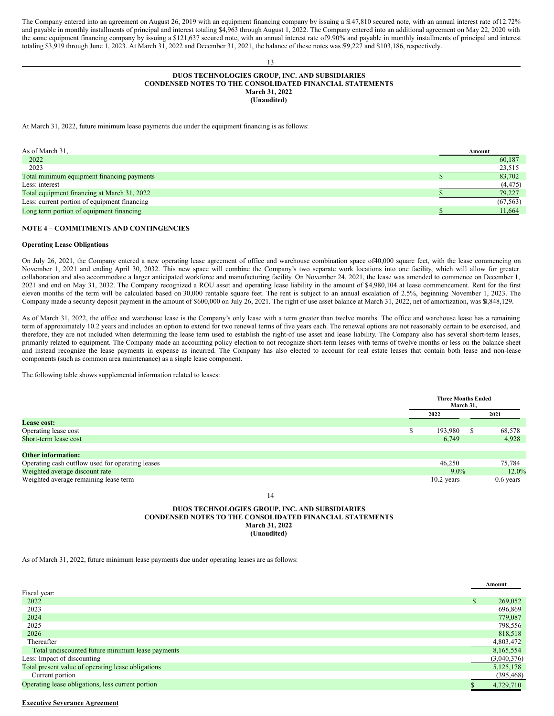The Company entered into an agreement on August 26, 2019 with an equipment financing company by issuing a \$147,810 secured note, with an annual interest rate of12.72% and payable in monthly installments of principal and interest totaling \$4,963 through August 1, 2022. The Company entered into an additional agreement on May 22, 2020 with the same equipment financing company by issuing a \$121,637 secured note, with an annual interest rate of 9.90% and payable in monthly installments of principal and interest totaling \$3,919 through June 1, 2023. At March 31, 2022 and December 31, 2021, the balance of these notes was \$79,227 and \$103,186, respectively.

## **DUOS TECHNOLOGIES GROUP, INC. AND SUBSIDIARIES CONDENSED NOTES TO THE CONSOLIDATED FINANCIAL STATEMENTS March 31, 2022 (Unaudited)**

13

At March 31, 2022, future minimum lease payments due under the equipment financing is as follows:

| As of March 31,                              | Amount |           |
|----------------------------------------------|--------|-----------|
| 2022                                         |        | 60,187    |
| 2023                                         |        | 23,515    |
| Total minimum equipment financing payments   |        | 83,702    |
| Less: interest                               |        | (4, 475)  |
| Total equipment financing at March 31, 2022  |        | 79,227    |
| Less: current portion of equipment financing |        | (67, 563) |
| Long term portion of equipment financing     |        | 11.664    |

#### **NOTE 4 – COMMITMENTS AND CONTINGENCIES**

#### **Operating Lease Obligations**

On July 26, 2021, the Company entered a new operating lease agreement of office and warehouse combination space of40,000 square feet, with the lease commencing on November 1, 2021 and ending April 30, 2032. This new space will combine the Company's two separate work locations into one facility, which will allow for greater collaboration and also accommodate a larger anticipated workforce and manufacturing facility. On November 24, 2021, the lease was amended to commence on December 1, 2021 and end on May 31, 2032. The Company recognized a ROU asset and operating lease liability in the amount of \$4,980,104 at lease commencement. Rent for the first eleven months of the term will be calculated based on 30,000 rentable square feet. The rent is subject to an annual escalation of 2.5%, beginning November 1, 2023. The Company made a security deposit payment in the amount of \$600,000 on July 26, 2021. The right of use asset balance at March 31, 2022, net of amortization, was \$4,848,129.

As of March 31, 2022, the office and warehouse lease is the Company's only lease with a term greater than twelve months. The office and warehouse lease has a remaining term of approximately 10.2 years and includes an option to extend for two renewal terms of five years each. The renewal options are not reasonably certain to be exercised, and therefore, they are not included when determining the lease term used to establish the right-of use asset and lease liability. The Company also has several short-term leases, primarily related to equipment. The Company made an accounting policy election to not recognize short-term leases with terms of twelve months or less on the balance sheet and instead recognize the lease payments in expense as incurred. The Company has also elected to account for real estate leases that contain both lease and non-lease components (such as common area maintenance) as a single lease component.

The following table shows supplemental information related to leases:

|                                                  | <b>Three Months Ended</b><br>March 31, |               |             |
|--------------------------------------------------|----------------------------------------|---------------|-------------|
|                                                  | 2022                                   |               | 2021        |
| <b>Lease cost:</b>                               |                                        |               |             |
| Operating lease cost                             | 193,980                                | <sup>\$</sup> | 68,578      |
| Short-term lease cost                            | 6,749                                  |               | 4,928       |
|                                                  |                                        |               |             |
| <b>Other information:</b>                        |                                        |               |             |
| Operating cash outflow used for operating leases | 46,250                                 |               | 75,784      |
| Weighted average discount rate                   | $9.0\%$                                |               | 12.0%       |
| Weighted average remaining lease term            | $10.2$ years                           |               | $0.6$ years |

## **DUOS TECHNOLOGIES GROUP, INC. AND SUBSIDIARIES CONDENSED NOTES TO THE CONSOLIDATED FINANCIAL STATEMENTS March 31, 2022 (Unaudited)**

14

As of March 31, 2022, future minimum lease payments due under operating leases are as follows:

|                                                    |    | Amount      |
|----------------------------------------------------|----|-------------|
| Fiscal year:                                       |    |             |
| 2022                                               | S. | 269,052     |
| 2023                                               |    | 696,869     |
| 2024                                               |    | 779,087     |
| 2025                                               |    | 798,556     |
| 2026                                               |    | 818,518     |
| Thereafter                                         |    | 4,803,472   |
| Total undiscounted future minimum lease payments   |    | 8,165,554   |
| Less: Impact of discounting                        |    | (3,040,376) |
| Total present value of operating lease obligations |    | 5,125,178   |
| Current portion                                    |    | (395, 468)  |
| Operating lease obligations, less current portion  |    | 4,729,710   |

#### **Executive Severance Agreement**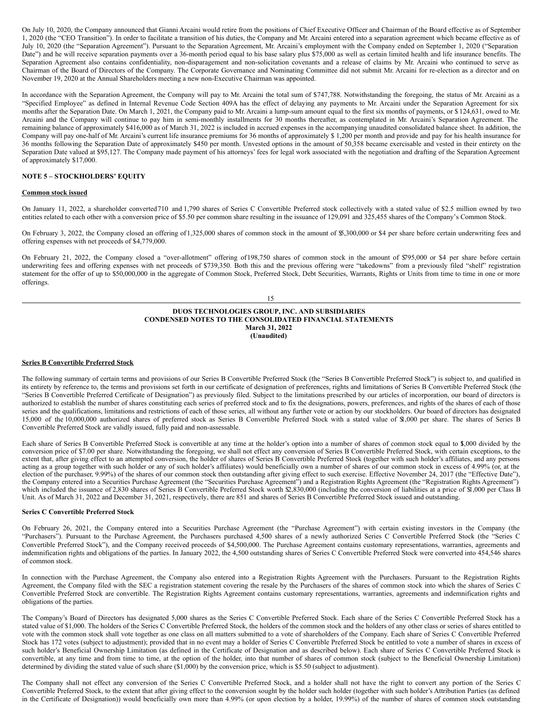On July 10, 2020, the Company announced that Gianni Arcaini would retire from the positions of Chief Executive Officer and Chairman of the Board effective as of September 1, 2020 (the "CEO Transition"). In order to facilitate a transition of his duties, the Company and Mr. Arcaini entered into a separation agreement which became effective as of July 10, 2020 (the "Separation Agreement"). Pursuant to the Separation Agreement, Mr. Arcaini's employment with the Company ended on September 1, 2020 ("Separation Date") and he will receive separation payments over a 36-month period equal to his base salary plus \$75,000 as well as certain limited health and life insurance benefits. The Separation Agreement also contains confidentiality, non-disparagement and non-solicitation covenants and a release of claims by Mr. Arcaini who continued to serve as Chairman of the Board of Directors of the Company. The Corporate Governance and Nominating Committee did not submit Mr. Arcaini for re-election as a director and on November 19, 2020 at the Annual Shareholders meeting a new non-Executive Chairman was appointed.

In accordance with the Separation Agreement, the Company will pay to Mr. Arcaini the total sum of \$747,788. Notwithstanding the foregoing, the status of Mr. Arcaini as a "Specified Employee" as defined in Internal Revenue Code Section 409A has the effect of delaying any payments to Mr. Arcaini under the Separation Agreement for six months after the Separation Date. On March 1, 2021, the Company paid to Mr. Arcaini a lump-sum amount equal to the first six months of payments, or \$ 124,631, owed to Mr. Arcaini and the Company will continue to pay him in semi-monthly installments for 30 months thereafter, as contemplated in Mr. Arcaini's Separation Agreement. The remaining balance of approximately \$416,000 as of March 31, 2022 is included in accrued expenses in the accompanying unaudited consolidated balance sheet. In addition, the Company will pay one-half of Mr. Arcaini's current life insurance premiums for 36 months of approximately \$ 1,200 per month and provide and pay for his health insurance for 36 months following the Separation Date of approximately \$450 per month. Unvested options in the amount of 50,358 became exercisable and vested in their entirety on the Separation Date valued at \$95,127. The Company made payment of his attorneys' fees for legal work associated with the negotiation and drafting of the Separation Agreement of approximately \$17,000.

## **NOTE 5 – STOCKHOLDERS' EQUITY**

## **Common stock issued**

On January 11, 2022, a shareholder converted710 and 1,790 shares of Series C Convertible Preferred stock collectively with a stated value of \$2.5 million owned by two entities related to each other with a conversion price of \$5.50 per common share resulting in the issuance of 129,091 and 325,455 shares of the Company's Common Stock.

On February 3, 2022, the Company closed an offering of1,325,000 shares of common stock in the amount of \$5,300,000 or \$4 per share before certain underwriting fees and offering expenses with net proceeds of \$4,779,000.

On February 21, 2022, the Company closed a "over-allotment" offering of198,750 shares of common stock in the amount of \$795,000 or \$4 per share before certain underwriting fees and offering expenses with net proceeds of \$739,350. Both this and the previous offering were "takedowns" from a previously filed "shelf" registration statement for the offer of up to \$50,000,000 in the aggregate of Common Stock, Preferred Stock, Debt Securities, Warrants, Rights or Units from time to time in one or more offerings.

15

## **DUOS TECHNOLOGIES GROUP, INC. AND SUBSIDIARIES CONDENSED NOTES TO THE CONSOLIDATED FINANCIAL STATEMENTS March 31, 2022 (Unaudited)**

## **Series B Convertible Preferred Stock**

The following summary of certain terms and provisions of our Series B Convertible Preferred Stock (the "Series B Convertible Preferred Stock") is subject to, and qualified in its entirety by reference to, the terms and provisions set forth in our certificate of designation of preferences, rights and limitations of Series B Convertible Preferred Stock (the "Series B Convertible Preferred Certificate of Designation") as previously filed. Subject to the limitations prescribed by our articles of incorporation, our board of directors is authorized to establish the number of shares constituting each series of preferred stock and to fix the designations, powers, preferences, and rights of the shares of each of those series and the qualifications, limitations and restrictions of each of those series, all without any further vote or action by our stockholders. Our board of directors has designated 15,000 of the 10,000,000 authorized shares of preferred stock as Series B Convertible Preferred Stock with a stated value of \$1,000 per share. The shares of Series B Convertible Preferred Stock are validly issued, fully paid and non-assessable.

Each share of Series B Convertible Preferred Stock is convertible at any time at the holder's option into a number of shares of common stock equal to \$,000 divided by the conversion price of \$7.00 per share. Notwithstanding the foregoing, we shall not effect any conversion of Series B Convertible Preferred Stock, with certain exceptions, to the extent that, after giving effect to an attempted conversion, the holder of shares of Series B Convertible Preferred Stock (together with such holder's affiliates, and any persons acting as a group together with such holder or any of such holder's affiliates) would beneficially own a number of shares of our common stock in excess of 4.99% (or, at the election of the purchaser, 9.99%) of the shares of our common stock then outstanding after giving effect to such exercise. Effective November 24, 2017 (the "Effective Date"), the Company entered into a Securities Purchase Agreement (the "Securities Purchase Agreement") and a Registration Rights Agreement (the "Registration Rights Agreement") which included the issuance of 2,830 shares of Series B Convertible Preferred Stock worth \$2,830,000 (including the conversion of liabilities at a price of \$1,000 per Class B Unit. As of March 31, 2022 and December 31, 2021, respectively, there are 851 and shares of Series B Convertible Preferred Stock issued and outstanding.

#### **Series C Convertible Preferred Stock**

On February 26, 2021, the Company entered into a Securities Purchase Agreement (the "Purchase Agreement") with certain existing investors in the Company (the "Purchasers"). Pursuant to the Purchase Agreement, the Purchasers purchased 4,500 shares of a newly authorized Series C Convertible Preferred Stock (the "Series C Convertible Preferred Stock"), and the Company received proceeds of \$4,500,000. The Purchase Agreement contains customary representations, warranties, agreements and indemnification rights and obligations of the parties. In January 2022, the 4,500 outstanding shares of Series C Convertible Preferred Stock were converted into 454,546 shares of common stock.

In connection with the Purchase Agreement, the Company also entered into a Registration Rights Agreement with the Purchasers. Pursuant to the Registration Rights Agreement, the Company filed with the SEC a registration statement covering the resale by the Purchasers of the shares of common stock into which the shares of Series C Convertible Preferred Stock are convertible. The Registration Rights Agreement contains customary representations, warranties, agreements and indemnification rights and obligations of the parties.

The Company's Board of Directors has designated 5,000 shares as the Series C Convertible Preferred Stock. Each share of the Series C Convertible Preferred Stock has a stated value of \$1,000. The holders of the Series C Convertible Preferred Stock, the holders of the common stock and the holders of any other class or series of shares entitled to vote with the common stock shall vote together as one class on all matters submitted to a vote of shareholders of the Company. Each share of Series C Convertible Preferred Stock has 172 votes (subject to adjustment); provided that in no event may a holder of Series C Convertible Preferred Stock be entitled to vote a number of shares in excess of such holder's Beneficial Ownership Limitation (as defined in the Certificate of Designation and as described below). Each share of Series C Convertible Preferred Stock is convertible, at any time and from time to time, at the option of the holder, into that number of shares of common stock (subject to the Beneficial Ownership Limitation) determined by dividing the stated value of such share (\$1,000) by the conversion price, which is \$5.50 (subject to adjustment).

The Company shall not effect any conversion of the Series C Convertible Preferred Stock, and a holder shall not have the right to convert any portion of the Series C Convertible Preferred Stock, to the extent that after giving effect to the conversion sought by the holder such holder (together with such holder's Attribution Parties (as defined in the Certificate of Designation)) would beneficially own more than 4.99% (or upon election by a holder, 19.99%) of the number of shares of common stock outstanding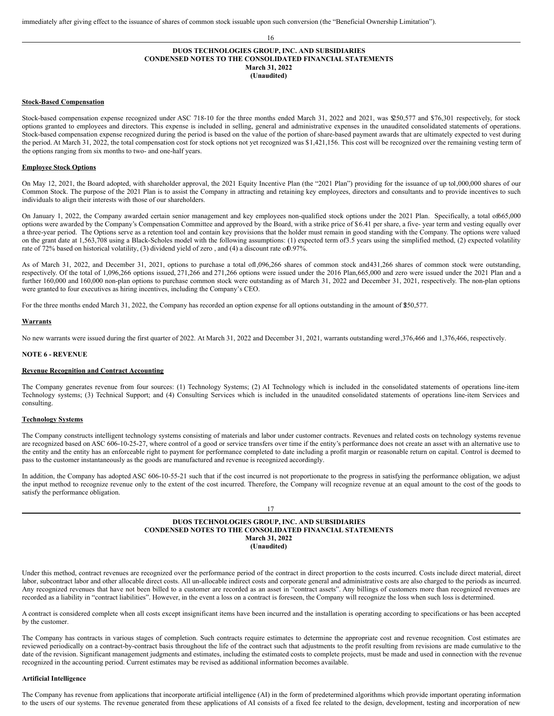## **DUOS TECHNOLOGIES GROUP, INC. AND SUBSIDIARIES CONDENSED NOTES TO THE CONSOLIDATED FINANCIAL STATEMENTS March 31, 2022 (Unaudited)**

16

#### **Stock-Based Compensation**

Stock-based compensation expense recognized under ASC 718-10 for the three months ended March 31, 2022 and 2021, was \$250,577 and \$76,301 respectively, for stock options granted to employees and directors. This expense is included in selling, general and administrative expenses in the unaudited consolidated statements of operations. Stock-based compensation expense recognized during the period is based on the value of the portion of share-based payment awards that are ultimately expected to vest during the period. At March 31, 2022, the total compensation cost for stock options not yet recognized was \$1,421,156. This cost will be recognized over the remaining vesting term of the options ranging from six months to two- and one-half years.

### **Employee Stock Options**

On May 12, 2021, the Board adopted, with shareholder approval, the 2021 Equity Incentive Plan (the "2021 Plan") providing for the issuance of up to1,000,000 shares of our Common Stock. The purpose of the 2021 Plan is to assist the Company in attracting and retaining key employees, directors and consultants and to provide incentives to such individuals to align their interests with those of our shareholders.

On January 1, 2022, the Company awarded certain senior management and key employees non-qualified stock options under the 2021 Plan. Specifically, a total of665,000 options were awarded by the Company's Compensation Committee and approved by the Board, with a strike price of \$6.41 per share, a five- year term and vesting equally over a three-year period. The Options serve as a retention tool and contain key provisions that the holder must remain in good standing with the Company. The options were valued on the grant date at 1,563,708 using a Black-Scholes model with the following assumptions: (1) expected term of3.5 years using the simplified method, (2) expected volatility rate of 72% based on historical volatility, (3) dividend yield of zero, and (4) a discount rate of 0.97%.

As of March 31, 2022, and December 31, 2021, options to purchase a total of1,096,266 shares of common stock and431,266 shares of common stock were outstanding, respectively. Of the total of 1,096,266 options issued, 271,266 and 271,266 options were issued under the 2016 Plan,665,000 and zero were issued under the 2021 Plan and a further 160,000 and 160,000 non-plan options to purchase common stock were outstanding as of March 31, 2022 and December 31, 2021, respectively. The non-plan options were granted to four executives as hiring incentives, including the Company's CEO.

For the three months ended March 31, 2022, the Company has recorded an option expense for all options outstanding in the amount of \$50,577.

#### **Warrants**

No new warrants were issued during the first quarter of 2022. At March 31, 2022 and December 31, 2021, warrants outstanding werel, 376,466 and 1,376,466, respectively.

#### **NOTE 6 - REVENUE**

#### **Revenue Recognition and Contract Accounting**

The Company generates revenue from four sources: (1) Technology Systems; (2) AI Technology which is included in the consolidated statements of operations line-item Technology systems; (3) Technical Support; and (4) Consulting Services which is included in the unaudited consolidated statements of operations line-item Services and consulting.

#### **Technology Systems**

The Company constructs intelligent technology systems consisting of materials and labor under customer contracts. Revenues and related costs on technology systems revenue are recognized based on ASC 606-10-25-27, where control of a good or service transfers over time if the entity's performance does not create an asset with an alternative use to the entity and the entity has an enforceable right to payment for performance completed to date including a profit margin or reasonable return on capital. Control is deemed to pass to the customer instantaneously as the goods are manufactured and revenue is recognized accordingly.

In addition, the Company has adopted ASC 606-10-55-21 such that if the cost incurred is not proportionate to the progress in satisfying the performance obligation, we adjust the input method to recognize revenue only to the extent of the cost incurred. Therefore, the Company will recognize revenue at an equal amount to the cost of the goods to satisfy the performance obligation.

17

#### **DUOS TECHNOLOGIES GROUP, INC. AND SUBSIDIARIES CONDENSED NOTES TO THE CONSOLIDATED FINANCIAL STATEMENTS March 31, 2022 (Unaudited)**

Under this method, contract revenues are recognized over the performance period of the contract in direct proportion to the costs incurred. Costs include direct material, direct labor, subcontract labor and other allocable direct costs. All un-allocable indirect costs and corporate general and administrative costs are also charged to the periods as incurred. Any recognized revenues that have not been billed to a customer are recorded as an asset in "contract assets". Any billings of customers more than recognized revenues are recorded as a liability in "contract liabilities". However, in the event a loss on a contract is foreseen, the Company will recognize the loss when such loss is determined.

A contract is considered complete when all costs except insignificant items have been incurred and the installation is operating according to specifications or has been accepted by the customer.

The Company has contracts in various stages of completion. Such contracts require estimates to determine the appropriate cost and revenue recognition. Cost estimates are reviewed periodically on a contract-by-contract basis throughout the life of the contract such that adjustments to the profit resulting from revisions are made cumulative to the date of the revision. Significant management judgments and estimates, including the estimated costs to complete projects, must be made and used in connection with the revenue recognized in the accounting period. Current estimates may be revised as additional information becomes available.

#### **Artificial Intelligence**

The Company has revenue from applications that incorporate artificial intelligence (AI) in the form of predetermined algorithms which provide important operating information to the users of our systems. The revenue generated from these applications of AI consists of a fixed fee related to the design, development, testing and incorporation of new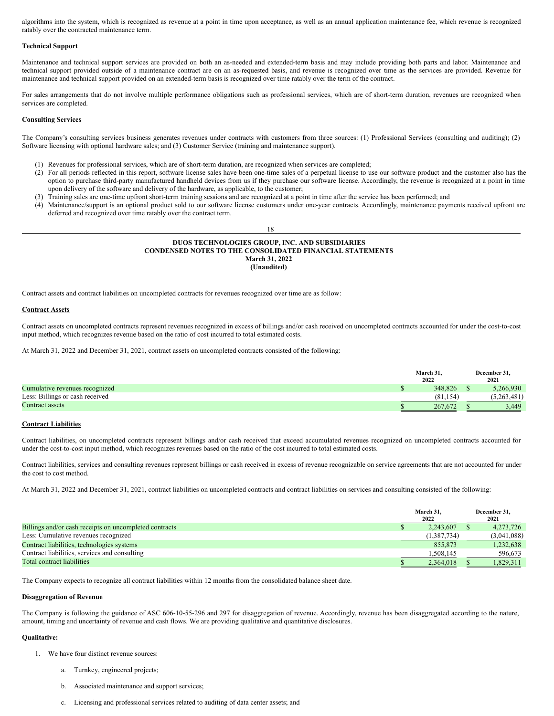algorithms into the system, which is recognized as revenue at a point in time upon acceptance, as well as an annual application maintenance fee, which revenue is recognized ratably over the contracted maintenance term.

#### **Technical Support**

Maintenance and technical support services are provided on both an as-needed and extended-term basis and may include providing both parts and labor. Maintenance and technical support provided outside of a maintenance contract are on an as-requested basis, and revenue is recognized over time as the services are provided. Revenue for maintenance and technical support provided on an extended-term basis is recognized over time ratably over the term of the contract.

For sales arrangements that do not involve multiple performance obligations such as professional services, which are of short-term duration, revenues are recognized when services are completed.

## **Consulting Services**

The Company's consulting services business generates revenues under contracts with customers from three sources: (1) Professional Services (consulting and auditing); (2) Software licensing with optional hardware sales; and (3) Customer Service (training and maintenance support).

- (1) Revenues for professional services, which are of short-term duration, are recognized when services are completed;
- (2) For all periods reflected in this report, software license sales have been one-time sales of a perpetual license to use our software product and the customer also has the option to purchase third-party manufactured handheld devices from us if they purchase our software license. Accordingly, the revenue is recognized at a point in time upon delivery of the software and delivery of the hardware, as applicable, to the customer;
- (3) Training sales are one-time upfront short-term training sessions and are recognized at a point in time after the service has been performed; and
- (4) Maintenance/support is an optional product sold to our software license customers under one-year contracts. Accordingly, maintenance payments received upfront are deferred and recognized over time ratably over the contract term.

## **DUOS TECHNOLOGIES GROUP, INC. AND SUBSIDIARIES CONDENSED NOTES TO THE CONSOLIDATED FINANCIAL STATEMENTS March 31, 2022 (Unaudited)**

Contract assets and contract liabilities on uncompleted contracts for revenues recognized over time are as follow:

#### **Contract Assets**

Contract assets on uncompleted contracts represent revenues recognized in excess of billings and/or cash received on uncompleted contracts accounted for under the cost-to-cost input method, which recognizes revenue based on the ratio of cost incurred to total estimated costs.

At March 31, 2022 and December 31, 2021, contract assets on uncompleted contracts consisted of the following:

|                                 | March 31. | December 31. |           |  |
|---------------------------------|-----------|--------------|-----------|--|
|                                 | 2022      |              | 2021      |  |
| Cumulative revenues recognized  | 348.826   |              | 266.930   |  |
| Less: Billings or cash received | (81.154)  |              | ,263.481) |  |
| Contract assets                 | 267.672   |              | 3.449     |  |

#### **Contract Liabilities**

Contract liabilities, on uncompleted contracts represent billings and/or cash received that exceed accumulated revenues recognized on uncompleted contracts accounted for under the cost-to-cost input method, which recognizes revenues based on the ratio of the cost incurred to total estimated costs.

Contract liabilities, services and consulting revenues represent billings or cash received in excess of revenue recognizable on service agreements that are not accounted for under the cost to cost method.

At March 31, 2022 and December 31, 2021, contract liabilities on uncompleted contracts and contract liabilities on services and consulting consisted of the following:

|                                                        | March 31,<br>2022 | December 31.<br>2021 |
|--------------------------------------------------------|-------------------|----------------------|
| Billings and/or cash receipts on uncompleted contracts | 2.243,607         | 4.273.726            |
| Less: Cumulative revenues recognized                   | (1, 387, 734)     | (3,041,088)          |
| Contract liabilities, technologies systems             | 855.873           | 1,232,638            |
| Contract liabilities, services and consulting          | 1.508.145         | 596,673              |
| Total contract liabilities                             | 2.364.018         | 1,829,311            |

The Company expects to recognize all contract liabilities within 12 months from the consolidated balance sheet date.

## **Disaggregation of Revenue**

The Company is following the guidance of ASC 606-10-55-296 and 297 for disaggregation of revenue. Accordingly, revenue has been disaggregated according to the nature, amount, timing and uncertainty of revenue and cash flows. We are providing qualitative and quantitative disclosures.

## **Qualitative:**

- We have four distinct revenue sources:
	- a. Turnkey, engineered projects;
	- b. Associated maintenance and support services;
	- c. Licensing and professional services related to auditing of data center assets; and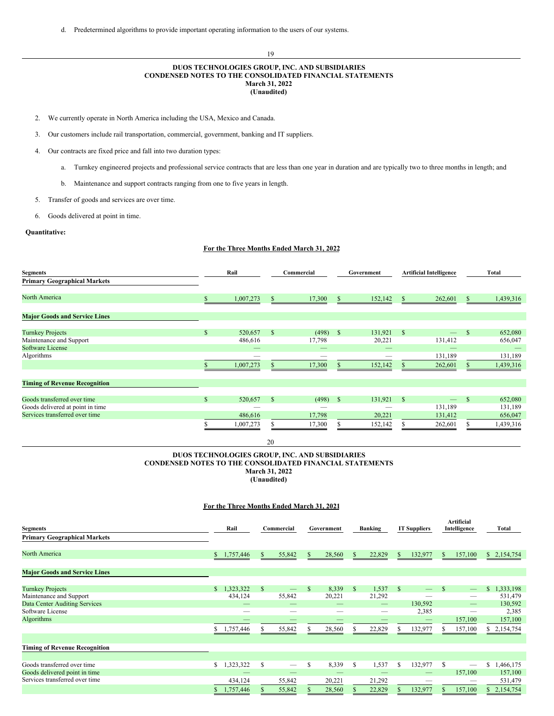d. Predetermined algorithms to provide important operating information to the users of our systems.

## **DUOS TECHNOLOGIES GROUP, INC. AND SUBSIDIARIES CONDENSED NOTES TO THE CONSOLIDATED FINANCIAL STATEMENTS March 31, 2022 (Unaudited)**

19

- 2. We currently operate in North America including the USA, Mexico and Canada.
- 3. Our customers include rail transportation, commercial, government, banking and IT suppliers.
- 4. Our contracts are fixed price and fall into two duration types:
	- a. Turnkey engineered projects and professional service contracts that are less than one year in duration and are typically two to three months in length; and
	- b. Maintenance and support contracts ranging from one to five years in length.
- 5. Transfer of goods and services are over time.
- 6. Goods delivered at point in time.

## **Quantitative:**

## **For the Three Months Ended March 31, 2022**

| <b>Segments</b>                      |              | Rail      |               | Commercial | Government   |         |              |         |               | <b>Artificial Intelligence</b> | Total |  |  |
|--------------------------------------|--------------|-----------|---------------|------------|--------------|---------|--------------|---------|---------------|--------------------------------|-------|--|--|
| <b>Primary Geographical Markets</b>  |              |           |               |            |              |         |              |         |               |                                |       |  |  |
| North America                        |              | 1,007,273 | <sup>\$</sup> | 17,300     | $\mathbb{S}$ | 152,142 | <sup>S</sup> | 262,601 | <sup>\$</sup> | 1,439,316                      |       |  |  |
| <b>Major Goods and Service Lines</b> |              |           |               |            |              |         |              |         |               |                                |       |  |  |
| <b>Turnkey Projects</b>              | $\mathbb{S}$ | 520,657   | \$            | (498)      | <sup>S</sup> | 131,921 | -S           |         | <sup>\$</sup> | 652,080                        |       |  |  |
| Maintenance and Support              |              | 486,616   |               | 17,798     |              | 20,221  |              | 131,412 |               | 656,047                        |       |  |  |
| <b>Software License</b>              |              |           |               |            |              |         |              |         |               |                                |       |  |  |
| Algorithms                           |              |           |               |            |              |         |              | 131,189 |               | 131,189                        |       |  |  |
|                                      |              | 1,007,273 |               | 17,300     |              | 152,142 |              | 262,601 |               | 1,439,316                      |       |  |  |
| <b>Timing of Revenue Recognition</b> |              |           |               |            |              |         |              |         |               |                                |       |  |  |
| Goods transferred over time          | $\mathbb{S}$ | 520,657   | $\mathbf{s}$  | (498)      | <sup>S</sup> | 131,921 | -S           |         | $\mathbf{s}$  | 652,080                        |       |  |  |
| Goods delivered at point in time     |              |           |               |            |              |         |              | 131,189 |               | 131,189                        |       |  |  |
| Services transferred over time       |              | 486,616   |               | 17,798     |              | 20,221  |              | 131,412 |               | 656,047                        |       |  |  |
|                                      |              | 1,007,273 |               | 17,300     |              | 152,142 |              | 262,601 |               | 1,439,316                      |       |  |  |

20

## **DUOS TECHNOLOGIES GROUP, INC. AND SUBSIDIARIES CONDENSED NOTES TO THE CONSOLIDATED FINANCIAL STATEMENTS March 31, 2022 (Unaudited)**

## **For the Three Months Ended March 31, 2021**

| Segments<br><b>Primary Geographical Markets</b> | Rail                      |             | Commercial               |    | Government |              | Banking |              | <b>IT Suppliers</b> |    | Artificial<br>Intelligence      | Total                     |
|-------------------------------------------------|---------------------------|-------------|--------------------------|----|------------|--------------|---------|--------------|---------------------|----|---------------------------------|---------------------------|
|                                                 |                           |             |                          |    |            |              |         |              |                     |    |                                 |                           |
| North America                                   | 1,757,446<br>\$           | S.          | 55,842                   | \$ | 28,560     | $\mathbb{S}$ | 22,829  | \$           | 132,977             | \$ | 157,100                         | \$2,154,754               |
| <b>Major Goods and Service Lines</b>            |                           |             |                          |    |            |              |         |              |                     |    |                                 |                           |
| <b>Turnkey Projects</b>                         | $\mathbb{S}$<br>1,323,322 | $\mathbf S$ |                          | \$ | 8,339      | $\mathbb{S}$ | 1,537   | $\mathbb{S}$ |                     | -S |                                 | 1,333,198<br>$\mathbb{S}$ |
| Maintenance and Support                         | 434,124                   |             | 55,842                   |    | 20,221     |              | 21,292  |              | --                  |    | —                               | 531,479                   |
| <b>Data Center Auditing Services</b>            | --                        |             |                          |    |            |              |         |              | 130,592             |    | $\overline{\phantom{0}}$        | 130,592                   |
| Software License                                |                           |             |                          |    |            |              |         |              | 2,385               |    |                                 | 2,385                     |
| Algorithms                                      |                           |             |                          |    |            |              |         |              |                     |    | 157,100                         | 157,100                   |
|                                                 | 1,757,446                 |             | 55,842                   |    | 28,560     |              | 22,829  |              | 132,977             |    | 157,100                         | \$2,154,754               |
| <b>Timing of Revenue Recognition</b>            |                           |             |                          |    |            |              |         |              |                     |    |                                 |                           |
|                                                 |                           |             |                          |    |            |              |         |              |                     |    |                                 |                           |
| Goods transferred over time                     | ,323,322<br>\$            | S           | $\overline{\phantom{m}}$ | S  | 8,339      | S            | 1,537   | S.           | 132,977             | -S | $\hspace{0.1mm}-\hspace{0.1mm}$ | 1,466,175<br>S.           |
| Goods delivered point in time                   |                           |             |                          |    |            |              |         |              |                     |    | 157,100                         | 157,100                   |
| Services transferred over time                  | 434,124                   |             | 55,842                   |    | 20,221     |              | 21,292  |              | $\sim$              |    | __                              | 531,479                   |
|                                                 | 1,757,446                 |             | 55,842                   |    | 28,560     |              | 22,829  |              | 132,977             | Ж  | 157,100                         | 2,154,754<br>S.           |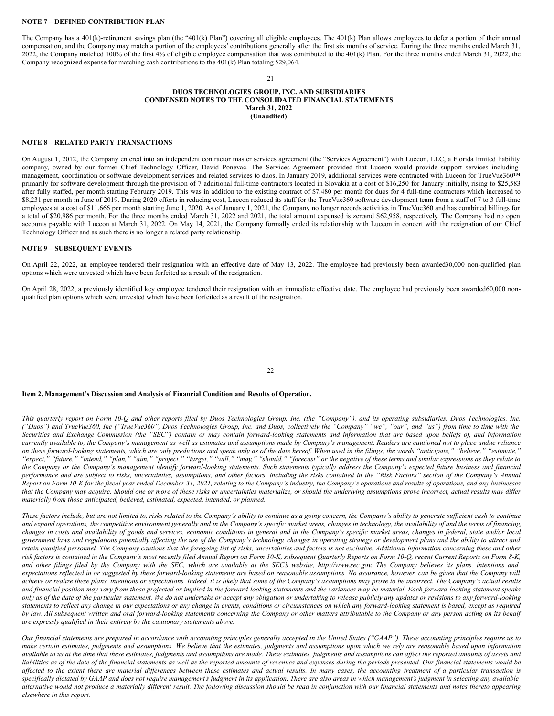#### **NOTE 7 – DEFINED CONTRIBUTION PLAN**

The Company has a 401(k)-retirement savings plan (the "401(k) Plan") covering all eligible employees. The 401(k) Plan allows employees to defer a portion of their annual compensation, and the Company may match a portion of the employees' contributions generally after the first six months of service. During the three months ended March 31, 2022, the Company matched 100% of the first 4% of eligible employee compensation that was contributed to the 401(k) Plan. For the three months ended March 31, 2022, the Company recognized expense for matching cash contributions to the 401(k) Plan totaling \$29,064.

#### 21

### **DUOS TECHNOLOGIES GROUP, INC. AND SUBSIDIARIES CONDENSED NOTES TO THE CONSOLIDATED FINANCIAL STATEMENTS March 31, 2022 (Unaudited)**

#### **NOTE 8 – RELATED PARTY TRANSACTIONS**

On August 1, 2012, the Company entered into an independent contractor master services agreement (the "Services Agreement") with Luceon, LLC, a Florida limited liability company, owned by our former Chief Technology Officer, David Ponevac. The Services Agreement provided that Luceon would provide support services including management, coordination or software development services and related services to duos. In January 2019, additional services were contracted with Luceon for TrueVue360™ primarily for software development through the provision of 7 additional full-time contractors located in Slovakia at a cost of \$16,250 for January initially, rising to \$25,583 after fully staffed, per month starting February 2019. This was in addition to the existing contract of \$7,480 per month for duos for 4 full-time contractors which increased to \$8,231 per month in June of 2019. During 2020 efforts in reducing cost, Luceon reduced its staff for the TrueVue360 software development team from a staff of 7 to 3 full-time employees at a cost of \$11,666 per month starting June 1, 2020. As of January 1, 2021, the Company no longer records activities in TrueVue360 and has combined billings for a total of \$20,986 per month. For the three months ended March 31, 2022 and 2021, the total amount expensed is zeroand \$62,958, respectively. The Company had no open accounts payable with Luceon at March 31, 2022. On May 14, 2021, the Company formally ended its relationship with Luceon in concert with the resignation of our Chief Technology Officer and as such there is no longer a related party relationship.

#### **NOTE 9 – SUBSEQUENT EVENTS**

On April 22, 2022, an employee tendered their resignation with an effective date of May 13, 2022. The employee had previously been awarded30,000 non-qualified plan options which were unvested which have been forfeited as a result of the resignation.

On April 28, 2022, a previously identified key employee tendered their resignation with an immediate effective date. The employee had previously been awarded60,000 nonqualified plan options which were unvested which have been forfeited as a result of the resignation.

<span id="page-15-0"></span>22

### **Item 2. Management's Discussion and Analysis of Financial Condition and Results of Operation.**

This quarterly report on Form 10-Q and other reports filed by Duos Technologies Group, Inc. (the "Company"), and its operating subsidiaries, Duos Technologies, Inc. ("Duos") and TrueVue360, Inc ("TrueVue360", Duos Technologies Group, Inc. and Duos, collectively the "Company" "we", "our", and "us") from time to time with the Securities and Exchange Commission (the "SEC") contain or may contain forward-looking statements and information that are based upon beliefs of, and information currently available to, the Company's management as well as estimates and assumptions made by Company's management. Readers are cautioned not to place undue reliance on these forward-looking statements, which are only predictions and speak only as of the date hereof. When used in the filings, the words "anticipate," "believe," "estimate," "expect," "future," "intend," "plan," "aim," "project," "target," "will," "may," "should," "forecast" or the negative of these terms and similar expressions as they relate to the Company or the Company's management identify forward-looking statements. Such statements typically address the Company's expected future business and financial performance and are subject to risks, uncertainties, assumptions, and other factors, including the risks contained in the "Risk Factors" section of the Company's Annual .<br>Report on Form 10-K for the fiscal year ended December 31, 2021, relating to the Company's industry, the Company's operations and results of operations, and any businesses that the Company may acquire. Should one or more of these risks or uncertainties materialize, or should the underlying assumptions prove incorrect, actual results may differ *materially from those anticipated, believed, estimated, expected, intended, or planned.*

These factors include, but are not limited to, risks related to the Company's ability to continue as a going concern, the Company's ability to generate sufficient cash to continue and expand operations, the competitive environment generally and in the Company's specific market areas, changes in technology, the availability of and the terms of financing, changes in costs and availability of goods and services, economic conditions in general and in the Company's specific market areas, changes in federal, state and/or local government laws and regulations potentially affecting the use of the Company's technology, changes in operating strategy or development plans and the ability to attract and retain qualified personnel. The Company cautions that the foregoing list of risks, uncertainties and factors is not exclusive. Additional information concerning these and other risk factors is contained in the Company's most recently filed Annual Report on Form 10-K, subsequent Quarterly Reports on Form 10-O, recent Current Reports on Form 8-K, and other filings filed by the Company with the SEC, which are available at the SEC's website, http://www.sec.gov. The Company believes its plans, intentions and expectations reflected in or suggested by these forward-looking statements are based on reasonable assumptions. No assurance, however, can be given that the Company will achieve or realize these plans, intentions or expectations. Indeed, it is likely that some of the Company's assumptions may prove to be incorrect. The Company's actual results and financial position may vary from those projected or implied in the forward-looking statements and the variances may be material. Each forward-looking statement speaks only as of the date of the particular statement. We do not undertake or accept any obligation or undertaking to release publicly any updates or revisions to any forward-looking statements to reflect any change in our expectations or any change in events, conditions or circumstances on which any forward-looking statement is based, except as required by law. All subsequent written and oral forward-looking statements concerning the Company or other matters attributable to the Company or any person acting on its behalf *are expressly qualified in their entirety by the cautionary statements above.*

Our financial statements are prepared in accordance with accounting principles generally accepted in the United States ("GAAP"). These accounting principles require us to make certain estimates, judgments and assumptions. We believe that the estimates, judgments and assumptions upon which we rely are reasonable based upon information available to us at the time that these estimates, judgments and assumptions are made. These estimates, judgments and assumptions can affect the reported amounts of assets and liabilities as of the date of the financial statements as well as the reported amounts of revenues and expenses during the periods presented. Our financial statements would be affected to the extent there are material differences between these estimates and actual results. In many cases, the accounting treatment of a particular transaction is specifically dictated by GAAP and does not require management's judgment in its application. There are also areas in which management's judgment in selecting any available alternative would not produce a materially different result. The following discussion should be read in conjunction with our financial statements and notes thereto appearing *elsewhere in this report.*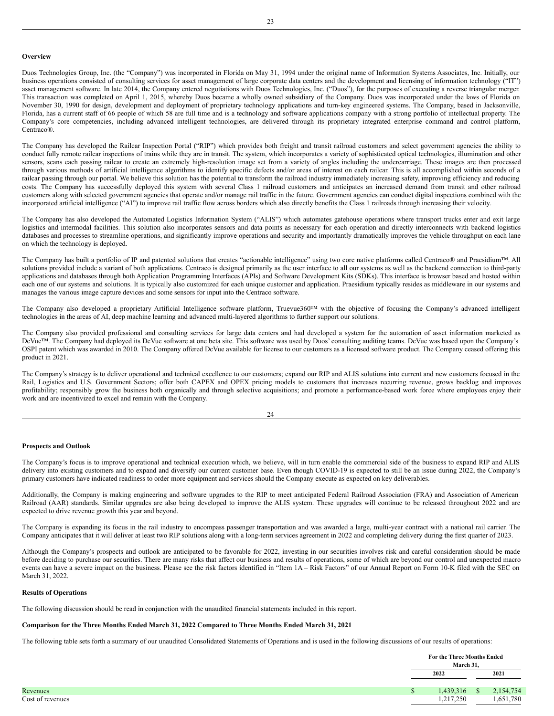#### **Overview**

Duos Technologies Group, Inc. (the "Company") was incorporated in Florida on May 31, 1994 under the original name of Information Systems Associates, Inc. Initially, our business operations consisted of consulting services for asset management of large corporate data centers and the development and licensing of information technology ("IT") asset management software. In late 2014, the Company entered negotiations with Duos Technologies, Inc. ("Duos"), for the purposes of executing a reverse triangular merger. This transaction was completed on April 1, 2015, whereby Duos became a wholly owned subsidiary of the Company. Duos was incorporated under the laws of Florida on November 30, 1990 for design, development and deployment of proprietary technology applications and turn-key engineered systems. The Company, based in Jacksonville, Florida, has a current staff of 66 people of which 58 are full time and is a technology and software applications company with a strong portfolio of intellectual property. The Company's core competencies, including advanced intelligent technologies, are delivered through its proprietary integrated enterprise command and control platform, Centraco®

The Company has developed the Railcar Inspection Portal ("RIP") which provides both freight and transit railroad customers and select government agencies the ability to conduct fully remote railcar inspections of trains while they are in transit. The system, which incorporates a variety of sophisticated optical technologies, illumination and other sensors, scans each passing railcar to create an extremely high-resolution image set from a variety of angles including the undercarriage. These images are then processed through various methods of artificial intelligence algorithms to identify specific defects and/or areas of interest on each railcar. This is all accomplished within seconds of a railcar passing through our portal. We believe this solution has the potential to transform the railroad industry immediately increasing safety, improving efficiency and reducing costs. The Company has successfully deployed this system with several Class 1 railroad customers and anticipates an increased demand from transit and other railroad customers along with selected government agencies that operate and/or manage rail traffic in the future. Government agencies can conduct digital inspections combined with the incorporated artificial intelligence ("AI") to improve rail traffic flow across borders which also directly benefits the Class 1 railroads through increasing their velocity.

The Company has also developed the Automated Logistics Information System ("ALIS") which automates gatehouse operations where transport trucks enter and exit large logistics and intermodal facilities. This solution also incorporates sensors and data points as necessary for each operation and directly interconnects with backend logistics databases and processes to streamline operations, and significantly improve operations and security and importantly dramatically improves the vehicle throughput on each lane on which the technology is deployed.

The Company has built a portfolio of IP and patented solutions that creates "actionable intelligence" using two core native platforms called Centraco® and Praesidium™. All solutions provided include a variant of both applications. Centraco is designed primarily as the user interface to all our systems as well as the backend connection to third-party applications and databases through both Application Programming Interfaces (APIs) and Software Development Kits (SDKs). This interface is browser based and hosted within each one of our systems and solutions. It is typically also customized for each unique customer and application. Praesidium typically resides as middleware in our systems and manages the various image capture devices and some sensors for input into the Centraco software.

The Company also developed a proprietary Artificial Intelligence software platform, Truevue360™ with the objective of focusing the Company's advanced intelligent technologies in the areas of AI, deep machine learning and advanced multi-layered algorithms to further support our solutions.

The Company also provided professional and consulting services for large data centers and had developed a system for the automation of asset information marketed as DcVue™. The Company had deployed its DcVue software at one beta site. This software was used by Duos' consulting auditing teams. DcVue was based upon the Company's OSPI patent which was awarded in 2010. The Company offered DcVue available for license to our customers as a licensed software product. The Company ceased offering this product in 2021.

The Company's strategy is to deliver operational and technical excellence to our customers; expand our RIP and ALIS solutions into current and new customers focused in the Rail, Logistics and U.S. Government Sectors; offer both CAPEX and OPEX pricing models to customers that increases recurring revenue, grows backlog and improves profitability; responsibly grow the business both organically and through selective acquisitions; and promote a performance-based work force where employees enjoy their work and are incentivized to excel and remain with the Company.

24

## **Prospects and Outlook**

The Company's focus is to improve operational and technical execution which, we believe, will in turn enable the commercial side of the business to expand RIP and ALIS delivery into existing customers and to expand and diversify our current customer base. Even though COVID-19 is expected to still be an issue during 2022, the Company's primary customers have indicated readiness to order more equipment and services should the Company execute as expected on key deliverables.

Additionally, the Company is making engineering and software upgrades to the RIP to meet anticipated Federal Railroad Association (FRA) and Association of American Railroad (AAR) standards. Similar upgrades are also being developed to improve the ALIS system. These upgrades will continue to be released throughout 2022 and are expected to drive revenue growth this year and beyond.

The Company is expanding its focus in the rail industry to encompass passenger transportation and was awarded a large, multi-year contract with a national rail carrier. The Company anticipates that it will deliver at least two RIP solutions along with a long-term services agreement in 2022 and completing delivery during the first quarter of 2023.

Although the Company's prospects and outlook are anticipated to be favorable for 2022, investing in our securities involves risk and careful consideration should be made before deciding to purchase our securities. There are many risks that affect our business and results of operations, some of which are beyond our control and unexpected macro events can have a severe impact on the business. Please see the risk factors identified in "Item 1A - Risk Factors" of our Annual Report on Form 10-K filed with the SEC on March 31, 2022.

## **Results of Operations**

The following discussion should be read in conjunction with the unaudited financial statements included in this report.

## **Comparison for the Three Months Ended March 31, 2022 Compared to Three Months Ended March 31, 2021**

The following table sets forth a summary of our unaudited Consolidated Statements of Operations and is used in the following discussions of our results of operations:

|                  | For the Three Months Ended<br>March 31. |              |           |
|------------------|-----------------------------------------|--------------|-----------|
|                  | 2022                                    |              | 2021      |
| Revenues         | .439,316                                | <sup>S</sup> | 2,154,754 |
| Cost of revenues | 1,217,250                               |              | 1,651,780 |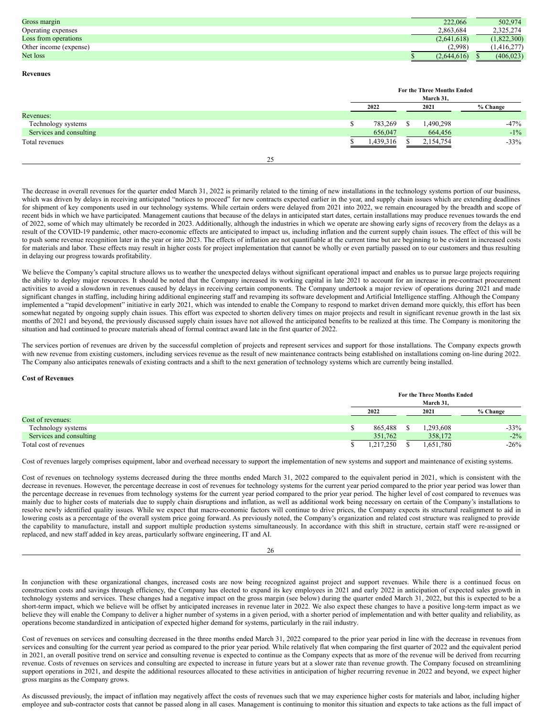| Gross margin           | 222,066     | 502,974     |
|------------------------|-------------|-------------|
| Operating expenses     | 2.863.684   | 2,325,274   |
| Loss from operations   | (2.641.618) | (1,822,300) |
| Other income (expense) | (2.998)     | 416,277     |
| Net loss               | 2.644.616   | (406, 023)  |

**Revenues**

|                         | For the Three Months Ended |      |           |          |  |  |  |  |
|-------------------------|----------------------------|------|-----------|----------|--|--|--|--|
|                         | March 31,                  |      |           |          |  |  |  |  |
|                         | 2022                       | 2021 |           | % Change |  |  |  |  |
| Revenues:               |                            |      |           |          |  |  |  |  |
| Technology systems      | 783,269                    |      | 490,298   | $-47%$   |  |  |  |  |
| Services and consulting | 656,047                    |      | 664,456   | $-1\%$   |  |  |  |  |
| Total revenues          | 1,439,316                  |      | 2,154,754 | $-33%$   |  |  |  |  |
|                         |                            |      |           |          |  |  |  |  |

25

The decrease in overall revenues for the quarter ended March 31, 2022 is primarily related to the timing of new installations in the technology systems portion of our business, which was driven by delays in receiving anticipated "notices to proceed" for new contracts expected earlier in the year, and supply chain issues which are extending deadlines for shipment of key components used in our technology systems. While certain orders were delayed from 2021 into 2022, we remain encouraged by the breadth and scope of recent bids in which we have participated. Management cautions that because of the delays in anticipated start dates, certain installations may produce revenues towards the end of 2022, some of which may ultimately be recorded in 2023. Additionally, although the industries in which we operate are showing early signs of recovery from the delays as a result of the COVID-19 pandemic, other macro-economic effects are anticipated to impact us, including inflation and the current supply chain issues. The effect of this will be to push some revenue recognition later in the year or into 2023. The effects of inflation are not quantifiable at the current time but are beginning to be evident in increased costs for materials and labor. These effects may result in higher costs for project implementation that cannot be wholly or even partially passed on to our customers and thus resulting in delaying our progress towards profitability.

We believe the Company's capital structure allows us to weather the unexpected delays without significant operational impact and enables us to pursue large projects requiring the ability to deploy major resources. It should be noted that the Company increased its working capital in late 2021 to account for an increase in pre-contract procurement activities to avoid a slowdown in revenues caused by delays in receiving certain components. The Company undertook a major review of operations during 2021 and made significant changes in staffing, including hiring additional engineering staff and revamping its software development and Artificial Intelligence staffing. Although the Company implemented a "rapid development" initiative in early 2021, which was intended to enable the Company to respond to market driven demand more quickly, this effort has been somewhat negated by ongoing supply chain issues. This effort was expected to shorten delivery times on major projects and result in significant revenue growth in the last six months of 2021 and beyond, the previously discussed supply chain issues have not allowed the anticipated benefits to be realized at this time. The Company is monitoring the situation and had continued to procure materials ahead of formal contract award late in the first quarter of 2022.

The services portion of revenues are driven by the successful completion of projects and represent services and support for those installations. The Company expects growth with new revenue from existing customers, including services revenue as the result of new maintenance contracts being established on installations coming on-line during 2022. The Company also anticipates renewals of existing contracts and a shift to the next generation of technology systems which are currently being installed.

## **Cost of Revenues**

|                         | For the Three Months Ended<br>March 31. |  |  |           |          |  |  |
|-------------------------|-----------------------------------------|--|--|-----------|----------|--|--|
|                         | 2022                                    |  |  | 2021      | % Change |  |  |
| Cost of revenues:       |                                         |  |  |           |          |  |  |
| Technology systems      | 865.488                                 |  |  | .293,608  | $-33%$   |  |  |
| Services and consulting | 351,762                                 |  |  | 358,172   | $-2\%$   |  |  |
| Total cost of revenues  | 1,217,250                               |  |  | 1,651,780 | $-26\%$  |  |  |

Cost of revenues largely comprises equipment, labor and overhead necessary to support the implementation of new systems and support and maintenance of existing systems.

Cost of revenues on technology systems decreased during the three months ended March 31, 2022 compared to the equivalent period in 2021, which is consistent with the decrease in revenues. However, the percentage decrease in cost of revenues for technology systems for the current year period compared to the prior year period was lower than the percentage decrease in revenues from technology systems for the current year period compared to the prior year period. The higher level of cost compared to revenues was mainly due to higher costs of materials due to supply chain disruptions and inflation, as well as additional work being necessary on certain of the Company's installations to resolve newly identified quality issues. While we expect that macro-economic factors will continue to drive prices, the Company expects its structural realignment to aid in lowering costs as a percentage of the overall system price going forward. As previously noted, the Company's organization and related cost structure was realigned to provide the capability to manufacture, install and support multiple production systems simultaneously. In accordance with this shift in structure, certain staff were re-assigned or replaced, and new staff added in key areas, particularly software engineering, IT and AI.

In conjunction with these organizational changes, increased costs are now being recognized against project and support revenues. While there is a continued focus on construction costs and savings through efficiency, the Company has elected to expand its key employees in 2021 and early 2022 in anticipation of expected sales growth in technology systems and services. These changes had a negative impact on the gross margin (see below) during the quarter ended March 31, 2022, but this is expected to be a short-term impact, which we believe will be offset by anticipated increases in revenue later in 2022. We also expect these changes to have a positive long-term impact as we believe they will enable the Company to deliver a higher number of systems in a given period, with a shorter period of implementation and with better quality and reliability, as operations become standardized in anticipation of expected higher demand for systems, particularly in the rail industry.

Cost of revenues on services and consulting decreased in the three months ended March 31, 2022 compared to the prior year period in line with the decrease in revenues from services and consulting for the current year period as compared to the prior year period. While relatively flat when comparing the first quarter of 2022 and the equivalent period in 2021, an overall positive trend on service and consulting revenue is expected to continue as the Company expects that as more of the revenue will be derived from recurring revenue. Costs of revenues on services and consulting are expected to increase in future years but at a slower rate than revenue growth. The Company focused on streamlining support operations in 2021, and despite the additional resources allocated to these activities in anticipation of higher recurring revenue in 2022 and beyond, we expect higher gross margins as the Company grows.

As discussed previously, the impact of inflation may negatively affect the costs of revenues such that we may experience higher costs for materials and labor, including higher employee and sub-contractor costs that cannot be passed along in all cases. Management is continuing to monitor this situation and expects to take actions as the full impact of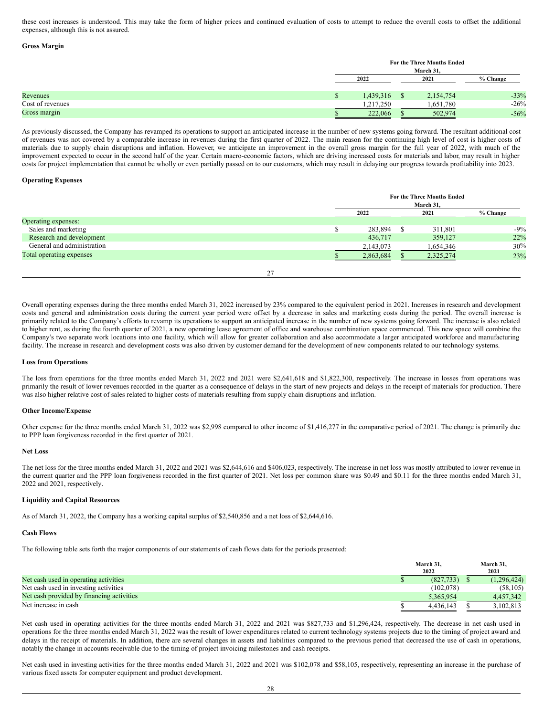these cost increases is understood. This may take the form of higher prices and continued evaluation of costs to attempt to reduce the overall costs to offset the additional expenses, although this is not assured.

#### **Gross Margin**

|                  |   | For the Three Months Ended<br>March 31, |  |           |          |  |  |  |
|------------------|---|-----------------------------------------|--|-----------|----------|--|--|--|
|                  |   | 2022                                    |  | 2021      | % Change |  |  |  |
| Revenues         | ω | 1,439,316                               |  | 2,154,754 | $-33%$   |  |  |  |
| Cost of revenues |   | 1,217,250                               |  | 1,651,780 | $-26%$   |  |  |  |
| Gross margin     |   | 222,066                                 |  | 502,974   | $-56%$   |  |  |  |

As previously discussed, the Company has revamped its operations to support an anticipated increase in the number of new systems going forward. The resultant additional cost of revenues was not covered by a comparable increase in revenues during the first quarter of 2022. The main reason for the continuing high level of cost is higher costs of materials due to supply chain disruptions and inflation. However, we anticipate an improvement in the overall gross margin for the full year of 2022, with much of the improvement expected to occur in the second half of the year. Certain macro-economic factors, which are driving increased costs for materials and labor, may result in higher costs for project implementation that cannot be wholly or even partially passed on to our customers, which may result in delaying our progress towards profitability into 2023.

#### **Operating Expenses**

|                            |    |    | For the Three Months Ended<br>March 31, |  |           |          |  |  |  |  |
|----------------------------|----|----|-----------------------------------------|--|-----------|----------|--|--|--|--|
|                            |    |    | 2022                                    |  | 2021      | % Change |  |  |  |  |
| Operating expenses:        |    |    |                                         |  |           |          |  |  |  |  |
| Sales and marketing        |    | ۰Β | 283,894                                 |  | 311,801   | $-9\%$   |  |  |  |  |
| Research and development   |    |    | 436,717                                 |  | 359,127   | 22%      |  |  |  |  |
| General and administration |    |    | 2,143,073                               |  | 1,654,346 | 30%      |  |  |  |  |
| Total operating expenses   |    |    | 2,863,684                               |  | 2,325,274 | 23%      |  |  |  |  |
|                            |    |    |                                         |  |           |          |  |  |  |  |
|                            | 27 |    |                                         |  |           |          |  |  |  |  |

Overall operating expenses during the three months ended March 31, 2022 increased by 23% compared to the equivalent period in 2021. Increases in research and development costs and general and administration costs during the current year period were offset by a decrease in sales and marketing costs during the period. The overall increase is primarily related to the Company's efforts to revamp its operations to support an anticipated increase in the number of new systems going forward. The increase is also related to higher rent, as during the fourth quarter of 2021, a new operating lease agreement of office and warehouse combination space commenced. This new space will combine the Company's two separate work locations into one facility, which will allow for greater collaboration and also accommodate a larger anticipated workforce and manufacturing facility. The increase in research and development costs was also driven by customer demand for the development of new components related to our technology systems.

#### **Loss from Operations**

The loss from operations for the three months ended March 31, 2022 and 2021 were \$2,641,618 and \$1,822,300, respectively. The increase in losses from operations was primarily the result of lower revenues recorded in the quarter as a consequence of delays in the start of new projects and delays in the receipt of materials for production. There was also higher relative cost of sales related to higher costs of materials resulting from supply chain disruptions and inflation.

#### **Other Income/Expense**

Other expense for the three months ended March 31, 2022 was \$2,998 compared to other income of \$1,416,277 in the comparative period of 2021. The change is primarily due to PPP loan forgiveness recorded in the first quarter of 2021.

## **Net Loss**

The net loss for the three months ended March 31, 2022 and 2021 was \$2,644,616 and \$406,023, respectively. The increase in net loss was mostly attributed to lower revenue in the current quarter and the PPP loan forgiveness recorded in the first quarter of 2021. Net loss per common share was \$0.49 and \$0.11 for the three months ended March 31, 2022 and 2021, respectively.

#### **Liquidity and Capital Resources**

As of March 31, 2022, the Company has a working capital surplus of \$2,540,856 and a net loss of \$2,644,616.

## **Cash Flows**

The following table sets forth the major components of our statements of cash flows data for the periods presented:

|                                           | March 31.<br>2022 |           | March 31.<br>2021 |  |
|-------------------------------------------|-------------------|-----------|-------------------|--|
| Net cash used in operating activities     |                   | (827,733) | (1.296.424)       |  |
| Net cash used in investing activities     |                   | (102.078) | (58, 105)         |  |
| Net cash provided by financing activities | 5.365.954         |           | 4.457.342         |  |
| Net increase in cash                      | 4.436.143         |           | 3,102,813         |  |

Net cash used in operating activities for the three months ended March 31, 2022 and 2021 was \$827,733 and \$1,296,424, respectively. The decrease in net cash used in operations for the three months ended March 31, 2022 was the result of lower expenditures related to current technology systems projects due to the timing of project award and delays in the receipt of materials. In addition, there are several changes in assets and liabilities compared to the previous period that decreased the use of cash in operations, notably the change in accounts receivable due to the timing of project invoicing milestones and cash receipts.

Net cash used in investing activities for the three months ended March 31, 2022 and 2021 was \$102,078 and \$58,105, respectively, representing an increase in the purchase of various fixed assets for computer equipment and product development.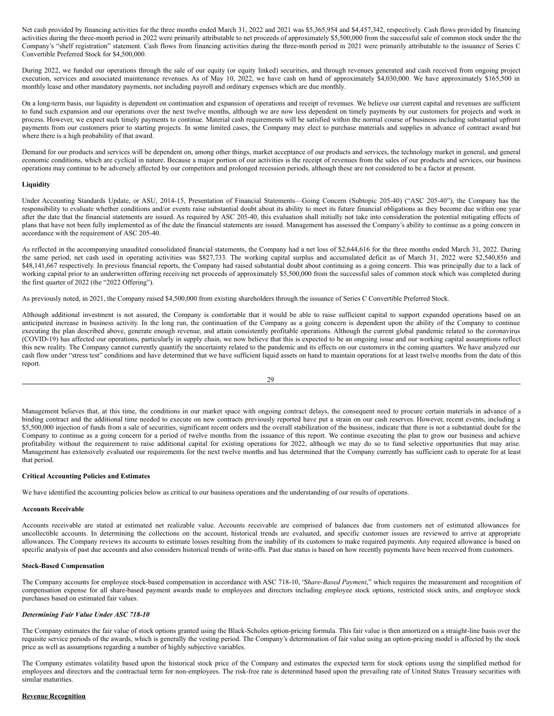Net cash provided by financing activities for the three months ended March 31, 2022 and 2021 was \$5,365,954 and \$4,457,342, respectively. Cash flows provided by financing activities during the three-month period in 2022 were primarily attributable to net proceeds of approximately \$5,500,000 from the successful sale of common stock under the the Company's "shelf registration" statement. Cash flows from financing activities during the three-month period in 2021 were primarily attributable to the issuance of Series C Convertible Preferred Stock for \$4,500,000.

During 2022, we funded our operations through the sale of our equity (or equity linked) securities, and through revenues generated and cash received from ongoing project execution, services and associated maintenance revenues. As of May 10, 2022, we have cash on hand of approximately \$4,030,000. We have approximately \$165,500 in monthly lease and other mandatory payments, not including payroll and ordinary expenses which are due monthly.

On a long-term basis, our liquidity is dependent on continuation and expansion of operations and receipt of revenues. We believe our current capital and revenues are sufficient to fund such expansion and our operations over the next twelve months, although we are now less dependent on timely payments by our customers for projects and work in process. However, we expect such timely payments to continue. Material cash requirements will be satisfied within the normal course of business including substantial upfront payments from our customers prior to starting projects. In some limited cases, the Company may elect to purchase materials and supplies in advance of contract award but where there is a high probability of that award.

Demand for our products and services will be dependent on, among other things, market acceptance of our products and services, the technology market in general, and general economic conditions, which are cyclical in nature. Because a major portion of our activities is the receipt of revenues from the sales of our products and services, our business operations may continue to be adversely affected by our competitors and prolonged recession periods, although these are not considered to be a factor at present.

## **Liquidity**

Under Accounting Standards Update, or ASU, 2014-15, Presentation of Financial Statements—Going Concern (Subtopic 205-40) ("ASC 205-40"), the Company has the responsibility to evaluate whether conditions and/or events raise substantial doubt about its ability to meet its future financial obligations as they become due within one year after the date that the financial statements are issued. As required by ASC 205-40, this evaluation shall initially not take into consideration the potential mitigating effects of plans that have not been fully implemented as of the date the financial statements are issued. Management has assessed the Company's ability to continue as a going concern in accordance with the requirement of ASC 205-40.

As reflected in the accompanying unaudited consolidated financial statements, the Company had a net loss of \$2,644,616 for the three months ended March 31, 2022. During the same period, net cash used in operating activities was \$827,733. The working capital surplus and accumulated deficit as of March 31, 2022 were \$2,540,856 and \$48,141,667 respectively. In previous financial reports, the Company had raised substantial doubt about continuing as a going concern. This was principally due to a lack of working capital prior to an underwritten offering receiving net proceeds of approximately \$5,500,000 from the successful sales of common stock which was completed during the first quarter of 2022 (the "2022 Offering").

As previously noted, in 2021, the Company raised \$4,500,000 from existing shareholders through the issuance of Series C Convertible Preferred Stock.

Although additional investment is not assured, the Company is comfortable that it would be able to raise sufficient capital to support expanded operations based on an anticipated increase in business activity. In the long run, the continuation of the Company as a going concern is dependent upon the ability of the Company to continue executing the plan described above, generate enough revenue, and attain consistently profitable operations. Although the current global pandemic related to the coronavirus (COVID-19) has affected our operations, particularly in supply chain, we now believe that this is expected to be an ongoing issue and our working capital assumptions reflect this new reality. The Company cannot currently quantify the uncertainty related to the pandemic and its effects on our customers in the coming quarters. We have analyzed our cash flow under "stress test" conditions and have determined that we have sufficient liquid assets on hand to maintain operations for at least twelve months from the date of this report.

29

Management believes that, at this time, the conditions in our market space with ongoing contract delays, the consequent need to procure certain materials in advance of a binding contract and the additional time needed to execute on new contracts previously reported have put a strain on our cash reserves. However, recent events, including a \$5,500,000 injection of funds from a sale of securities, significant recent orders and the overall stabilization of the business, indicate that there is not a substantial doubt for the Company to continue as a going concern for a period of twelve months from the issuance of this report. We continue executing the plan to grow our business and achieve profitability without the requirement to raise additional capital for existing operations for 2022, although we may do so to fund selective opportunities that may arise. Management has extensively evaluated our requirements for the next twelve months and has determined that the Company currently has sufficient cash to operate for at least that period.

#### **Critical Accounting Policies and Estimates**

We have identified the accounting policies below as critical to our business operations and the understanding of our results of operations.

#### **Accounts Receivable**

Accounts receivable are stated at estimated net realizable value. Accounts receivable are comprised of balances due from customers net of estimated allowances for uncollectible accounts. In determining the collections on the account, historical trends are evaluated, and specific customer issues are reviewed to arrive at appropriate allowances. The Company reviews its accounts to estimate losses resulting from the inability of its customers to make required payments. Any required allowance is based on specific analysis of past due accounts and also considers historical trends of write-offs. Past due status is based on how recently payments have been received from customers.

## **Stock-Based Compensation**

The Company accounts for employee stock-based compensation in accordance with ASC 718-10, "*Share-Based Payment*," which requires the measurement and recognition of compensation expense for all share-based payment awards made to employees and directors including employee stock options, restricted stock units, and employee stock purchases based on estimated fair values.

#### *Determining Fair Value Under ASC 718-10*

The Company estimates the fair value of stock options granted using the Black-Scholes option-pricing formula. This fair value is then amortized on a straight-line basis over the requisite service periods of the awards, which is generally the vesting period. The Company's determination of fair value using an option-pricing model is affected by the stock price as well as assumptions regarding a number of highly subjective variables.

The Company estimates volatility based upon the historical stock price of the Company and estimates the expected term for stock options using the simplified method for employees and directors and the contractual term for non-employees. The risk-free rate is determined based upon the prevailing rate of United States Treasury securities with similar maturities.

### **Revenue Recognition**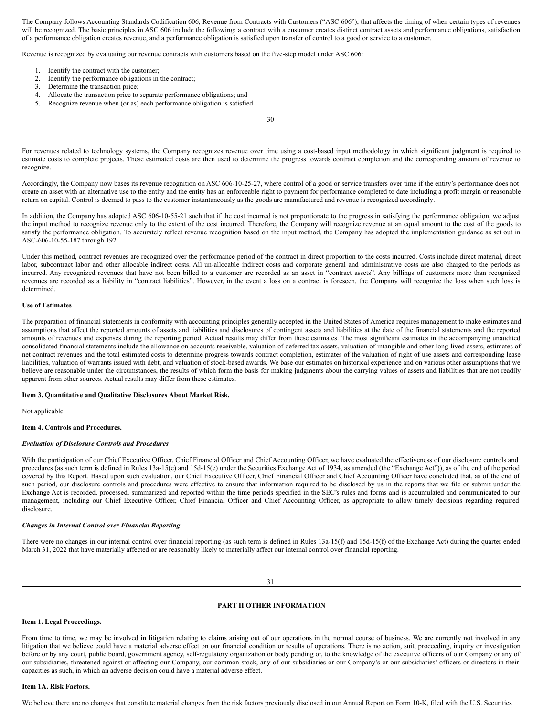The Company follows Accounting Standards Codification 606, Revenue from Contracts with Customers ("ASC 606"), that affects the timing of when certain types of revenues will be recognized. The basic principles in ASC 606 include the following: a contract with a customer creates distinct contract assets and performance obligations, satisfaction of a performance obligation creates revenue, and a performance obligation is satisfied upon transfer of control to a good or service to a customer.

Revenue is recognized by evaluating our revenue contracts with customers based on the five-step model under ASC 606:

- 1. Identify the contract with the customer;
- 2. Identify the performance obligations in the contract;
- 3. Determine the transaction price;
- 4. Allocate the transaction price to separate performance obligations; and
- 5. Recognize revenue when (or as) each performance obligation is satisfied.

30

For revenues related to technology systems, the Company recognizes revenue over time using a cost-based input methodology in which significant judgment is required to estimate costs to complete projects. These estimated costs are then used to determine the progress towards contract completion and the corresponding amount of revenue to recognize.

Accordingly, the Company now bases its revenue recognition on ASC 606-10-25-27, where control of a good or service transfers over time if the entity's performance does not create an asset with an alternative use to the entity and the entity has an enforceable right to payment for performance completed to date including a profit margin or reasonable return on capital. Control is deemed to pass to the customer instantaneously as the goods are manufactured and revenue is recognized accordingly.

In addition, the Company has adopted ASC 606-10-55-21 such that if the cost incurred is not proportionate to the progress in satisfying the performance obligation, we adjust the input method to recognize revenue only to the extent of the cost incurred. Therefore, the Company will recognize revenue at an equal amount to the cost of the goods to satisfy the performance obligation. To accurately reflect revenue recognition based on the input method, the Company has adopted the implementation guidance as set out in ASC-606-10-55-187 through 192.

Under this method, contract revenues are recognized over the performance period of the contract in direct proportion to the costs incurred. Costs include direct material, direct labor, subcontract labor and other allocable indirect costs. All un-allocable indirect costs and corporate general and administrative costs are also charged to the periods as incurred. Any recognized revenues that have not been billed to a customer are recorded as an asset in "contract assets". Any billings of customers more than recognized revenues are recorded as a liability in "contract liabilities". However, in the event a loss on a contract is foreseen, the Company will recognize the loss when such loss is determined.

#### **Use of Estimates**

The preparation of financial statements in conformity with accounting principles generally accepted in the United States of America requires management to make estimates and assumptions that affect the reported amounts of assets and liabilities and disclosures of contingent assets and liabilities at the date of the financial statements and the reported amounts of revenues and expenses during the reporting period. Actual results may differ from these estimates. The most significant estimates in the accompanying unaudited consolidated financial statements include the allowance on accounts receivable, valuation of deferred tax assets, valuation of intangible and other long-lived assets, estimates of net contract revenues and the total estimated costs to determine progress towards contract completion, estimates of the valuation of right of use assets and corresponding lease liabilities, valuation of warrants issued with debt, and valuation of stock-based awards. We base our estimates on historical experience and on various other assumptions that we believe are reasonable under the circumstances, the results of which form the basis for making judgments about the carrying values of assets and liabilities that are not readily apparent from other sources. Actual results may differ from these estimates.

#### **Item 3. Quantitative and Qualitative Disclosures About Market Risk.**

Not applicable.

## <span id="page-20-1"></span>**Item 4. Controls and Procedures.**

#### *Evaluation of Disclosure Controls and Procedures*

With the participation of our Chief Executive Officer, Chief Financial Officer and Chief Accounting Officer, we have evaluated the effectiveness of our disclosure controls and procedures (as such term is defined in Rules 13a-15(e) and 15d-15(e) under the Securities Exchange Act of 1934, as amended (the "Exchange Act")), as of the end of the period covered by this Report. Based upon such evaluation, our Chief Executive Officer, Chief Financial Officer and Chief Accounting Officer have concluded that, as of the end of such period, our disclosure controls and procedures were effective to ensure that information required to be disclosed by us in the reports that we file or submit under the Exchange Act is recorded, processed, summarized and reported within the time periods specified in the SEC's rules and forms and is accumulated and communicated to our management, including our Chief Executive Officer, Chief Financial Officer and Chief Accounting Officer, as appropriate to allow timely decisions regarding required disclosure.

#### *Changes in Internal Control over Financial Reporting*

There were no changes in our internal control over financial reporting (as such term is defined in Rules 13a-15(f) and 15d-15(f) of the Exchange Act) during the quarter ended March 31, 2022 that have materially affected or are reasonably likely to materially affect our internal control over financial reporting.

<span id="page-20-0"></span>31

## **PART II OTHER INFORMATION**

#### <span id="page-20-2"></span>**Item 1. Legal Proceedings.**

From time to time, we may be involved in litigation relating to claims arising out of our operations in the normal course of business. We are currently not involved in any litigation that we believe could have a material adverse effect on our financial condition or results of operations. There is no action, suit, proceeding, inquiry or investigation before or by any court, public board, government agency, self-regulatory organization or body pending or, to the knowledge of the executive officers of our Company or any of our subsidiaries, threatened against or affecting our Company, our common stock, any of our subsidiaries or our Company's or our subsidiaries' officers or directors in their capacities as such, in which an adverse decision could have a material adverse effect.

#### <span id="page-20-3"></span>**Item 1A. Risk Factors.**

We believe there are no changes that constitute material changes from the risk factors previously disclosed in our Annual Report on Form 10-K, filed with the U.S. Securities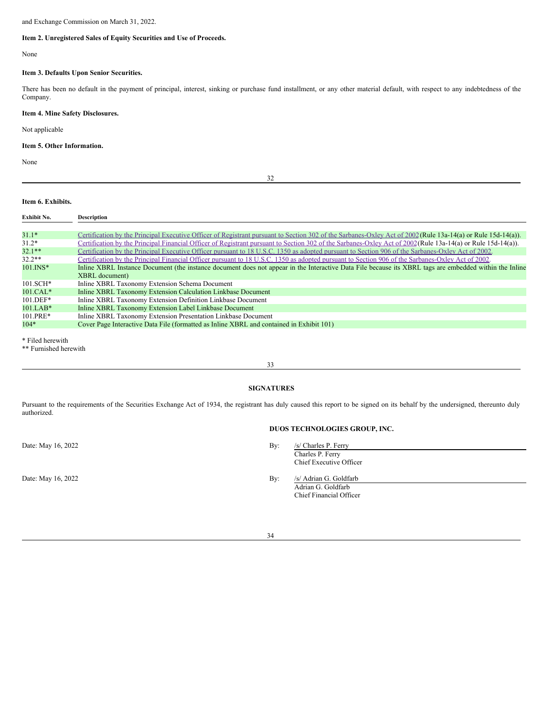and Exchange Commission on March 31, 2022.

## **Item 2. Unregistered Sales of Equity Securities and Use of Proceeds.**

None

## <span id="page-21-1"></span>**Item 3. Defaults Upon Senior Securities.**

There has been no default in the payment of principal, interest, sinking or purchase fund installment, or any other material default, with respect to any indebtedness of the Company.

## <span id="page-21-2"></span>**Item 4. Mine Safety Disclosures.**

Not applicable

## <span id="page-21-3"></span>**Item 5. Other Information.**

None

<span id="page-21-0"></span>32

## <span id="page-21-4"></span>**Item 6. Exhibits.**

| Exhibit No. | <b>Description</b>                                                                                                                                           |
|-------------|--------------------------------------------------------------------------------------------------------------------------------------------------------------|
|             |                                                                                                                                                              |
| $31.1*$     | Certification by the Principal Executive Officer of Registrant pursuant to Section 302 of the Sarbanes-Oxley Act of 2002 (Rule 13a-14(a) or Rule 15d-14(a)). |
| $31.2*$     | Certification by the Principal Financial Officer of Registrant pursuant to Section 302 of the Sarbanes-Oxley Act of 2002(Rule 13a-14(a) or Rule 15d-14(a)).  |
| $32.1**$    | Certification by the Principal Executive Officer pursuant to 18 U.S.C. 1350 as adopted pursuant to Section 906 of the Sarbanes-Oxley Act of 2002.            |
| $32.2**$    | Certification by the Principal Financial Officer pursuant to 18 U.S.C. 1350 as adopted pursuant to Section 906 of the Sarbanes-Oxley Act of 2002.            |
| $101.$ INS* | Inline XBRL Instance Document (the instance document does not appear in the Interactive Data File because its XBRL tags are embedded within the Inline       |
|             | <b>XBRL</b> document)                                                                                                                                        |
| $101.SCH*$  | Inline XBRL Taxonomy Extension Schema Document                                                                                                               |
| $101.CAL*$  | Inline XBRL Taxonomy Extension Calculation Linkbase Document                                                                                                 |
| $101.$ DEF* | Inline XBRL Taxonomy Extension Definition Linkbase Document                                                                                                  |
| $101.LAB*$  | Inline XBRL Taxonomy Extension Label Linkbase Document                                                                                                       |
| $101.PRE*$  | Inline XBRL Taxonomy Extension Presentation Linkbase Document                                                                                                |
| $104*$      | Cover Page Interactive Data File (formatted as Inline XBRL and contained in Exhibit 101)                                                                     |
|             |                                                                                                                                                              |

\* Filed herewith

\*\* Furnished herewith

<span id="page-21-5"></span>33

## **SIGNATURES**

Pursuant to the requirements of the Securities Exchange Act of 1934, the registrant has duly caused this report to be signed on its behalf by the undersigned, thereunto duly authorized.

Date: May 16, 2022

Date: May 16, 2022

## **DUOS TECHNOLOGIES GROUP, INC.**

| By: | /s/ Charles P. Ferry    |
|-----|-------------------------|
|     | Charles P. Ferry        |
|     | Chief Executive Officer |
| By: | /s/ Adrian G. Goldfarb  |
|     | Adrian G. Goldfarb      |
|     | Chief Financial Officer |

34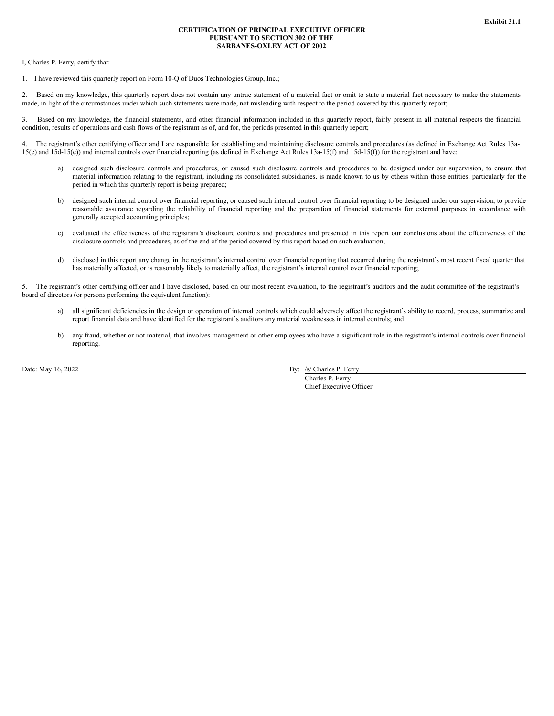## **CERTIFICATION OF PRINCIPAL EXECUTIVE OFFICER PURSUANT TO SECTION 302 OF THE SARBANES-OXLEY ACT OF 2002**

<span id="page-22-0"></span>I, Charles P. Ferry, certify that:

1. I have reviewed this quarterly report on Form 10-Q of Duos Technologies Group, Inc.;

2. Based on my knowledge, this quarterly report does not contain any untrue statement of a material fact or omit to state a material fact necessary to make the statements made, in light of the circumstances under which such statements were made, not misleading with respect to the period covered by this quarterly report;

3. Based on my knowledge, the financial statements, and other financial information included in this quarterly report, fairly present in all material respects the financial condition, results of operations and cash flows of the registrant as of, and for, the periods presented in this quarterly report;

4. The registrant's other certifying officer and I are responsible for establishing and maintaining disclosure controls and procedures (as defined in Exchange Act Rules 13a-15(e) and 15d-15(e)) and internal controls over financial reporting (as defined in Exchange Act Rules 13a-15(f) and 15d-15(f)) for the registrant and have:

- a) designed such disclosure controls and procedures, or caused such disclosure controls and procedures to be designed under our supervision, to ensure that material information relating to the registrant, including its consolidated subsidiaries, is made known to us by others within those entities, particularly for the period in which this quarterly report is being prepared;
- b) designed such internal control over financial reporting, or caused such internal control over financial reporting to be designed under our supervision, to provide reasonable assurance regarding the reliability of financial reporting and the preparation of financial statements for external purposes in accordance with generally accepted accounting principles;
- c) evaluated the effectiveness of the registrant's disclosure controls and procedures and presented in this report our conclusions about the effectiveness of the disclosure controls and procedures, as of the end of the period covered by this report based on such evaluation;
- d) disclosed in this report any change in the registrant's internal control over financial reporting that occurred during the registrant's most recent fiscal quarter that has materially affected, or is reasonably likely to materially affect, the registrant's internal control over financial reporting;

5. The registrant's other certifying officer and I have disclosed, based on our most recent evaluation, to the registrant's auditors and the audit committee of the registrant's board of directors (or persons performing the equivalent function):

- a) all significant deficiencies in the design or operation of internal controls which could adversely affect the registrant's ability to record, process, summarize and report financial data and have identified for the registrant's auditors any material weaknesses in internal controls; and
- b) any fraud, whether or not material, that involves management or other employees who have a significant role in the registrant's internal controls over financial reporting.

Date: May 16, 2022 By: /s/ Charles P. Ferry

Charles P. Ferry Chief Executive Officer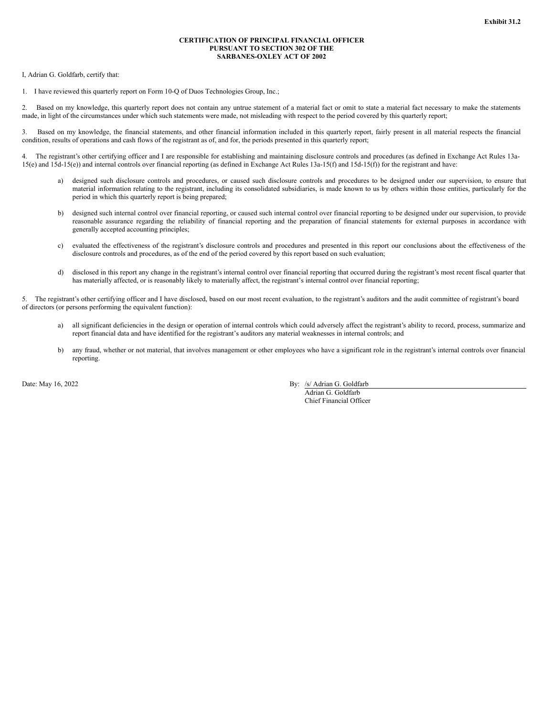#### **CERTIFICATION OF PRINCIPAL FINANCIAL OFFICER PURSUANT TO SECTION 302 OF THE SARBANES-OXLEY ACT OF 2002**

<span id="page-23-0"></span>I, Adrian G. Goldfarb, certify that:

1. I have reviewed this quarterly report on Form 10-Q of Duos Technologies Group, Inc.;

2. Based on my knowledge, this quarterly report does not contain any untrue statement of a material fact or omit to state a material fact necessary to make the statements made, in light of the circumstances under which such statements were made, not misleading with respect to the period covered by this quarterly report;

3. Based on my knowledge, the financial statements, and other financial information included in this quarterly report, fairly present in all material respects the financial condition, results of operations and cash flows of the registrant as of, and for, the periods presented in this quarterly report;

4. The registrant's other certifying officer and I are responsible for establishing and maintaining disclosure controls and procedures (as defined in Exchange Act Rules 13a-15(e) and 15d-15(e)) and internal controls over financial reporting (as defined in Exchange Act Rules 13a-15(f) and 15d-15(f)) for the registrant and have:

- designed such disclosure controls and procedures, or caused such disclosure controls and procedures to be designed under our supervision, to ensure that material information relating to the registrant, including its consolidated subsidiaries, is made known to us by others within those entities, particularly for the period in which this quarterly report is being prepared;
- b) designed such internal control over financial reporting, or caused such internal control over financial reporting to be designed under our supervision, to provide reasonable assurance regarding the reliability of financial reporting and the preparation of financial statements for external purposes in accordance with generally accepted accounting principles;
- c) evaluated the effectiveness of the registrant's disclosure controls and procedures and presented in this report our conclusions about the effectiveness of the disclosure controls and procedures, as of the end of the period covered by this report based on such evaluation;
- d) disclosed in this report any change in the registrant's internal control over financial reporting that occurred during the registrant's most recent fiscal quarter that has materially affected, or is reasonably likely to materially affect, the registrant's internal control over financial reporting;

5. The registrant's other certifying officer and I have disclosed, based on our most recent evaluation, to the registrant's auditors and the audit committee of registrant's board of directors (or persons performing the equivalent function):

- a) all significant deficiencies in the design or operation of internal controls which could adversely affect the registrant's ability to record, process, summarize and report financial data and have identified for the registrant's auditors any material weaknesses in internal controls; and
- b) any fraud, whether or not material, that involves management or other employees who have a significant role in the registrant's internal controls over financial reporting.

Date: May 16, 2022 By: /s/ Adrian G. Goldfarb

Adrian G. Goldfarb Chief Financial Officer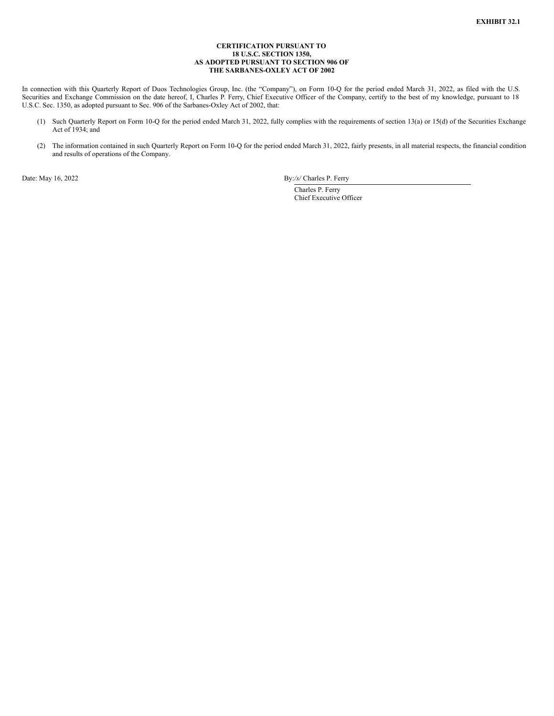### **CERTIFICATION PURSUANT TO 18 U.S.C. SECTION 1350, AS ADOPTED PURSUANT TO SECTION 906 OF THE SARBANES-OXLEY ACT OF 2002**

<span id="page-24-0"></span>In connection with this Quarterly Report of Duos Technologies Group, Inc. (the "Company"), on Form 10-Q for the period ended March 31, 2022, as filed with the U.S. Securities and Exchange Commission on the date hereof, I, Charles P. Ferry, Chief Executive Officer of the Company, certify to the best of my knowledge, pursuant to 18 U.S.C. Sec. 1350, as adopted pursuant to Sec. 906 of the Sarbanes-Oxley Act of 2002, that:

- (1) Such Quarterly Report on Form 10-Q for the period ended March 31, 2022, fully complies with the requirements of section 13(a) or 15(d) of the Securities Exchange Act of 1934; and
- (2) The information contained in such Quarterly Report on Form 10-Q for the period ended March 31, 2022, fairly presents, in all material respects, the financial condition and results of operations of the Company.

Date: May 16, 2022 By:*/s/* Charles P. Ferry

Charles P. Ferry Chief Executive Officer